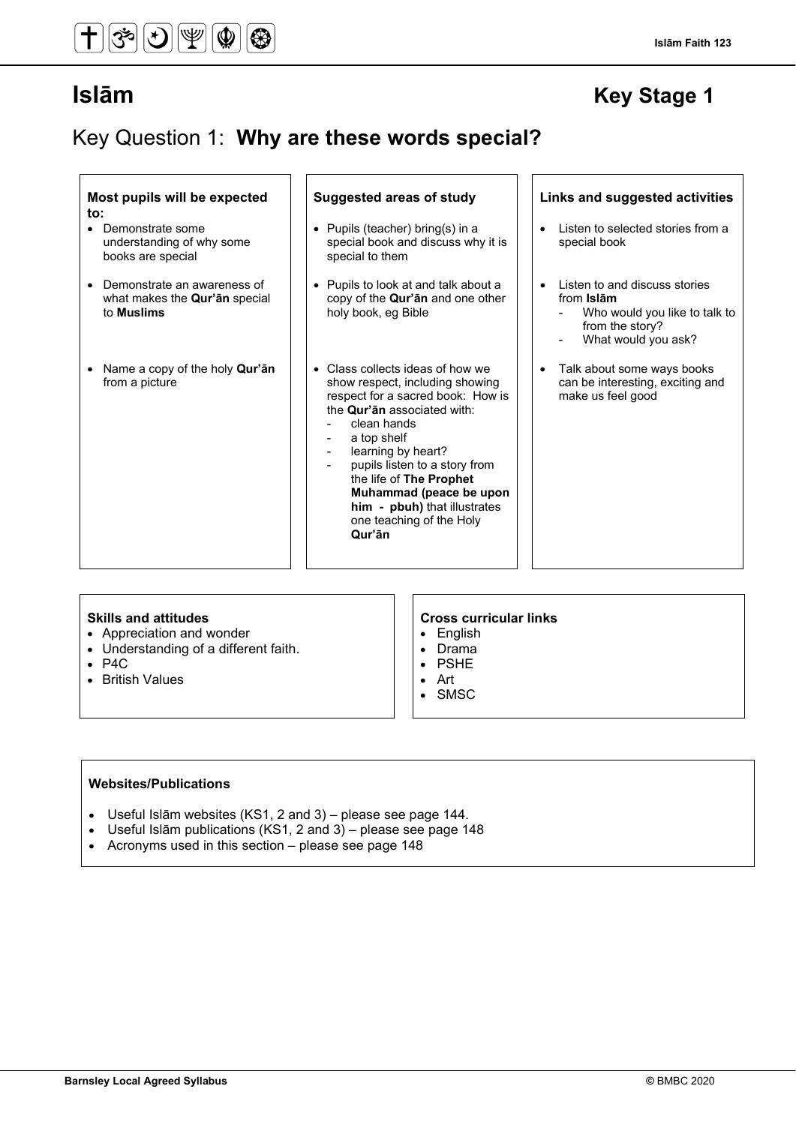## Key Question 1: **Why are these words special?**

|     |  | Most pupils will be expected |
|-----|--|------------------------------|
| to: |  |                              |

- Demonstrate some understanding of why some books are special
- Demonstrate an awareness of what makes the **Qur'ān** special to **Muslims**
- Name a copy of the holy **Qur'ān** from a picture

#### • Class collects ideas of how we show respect, including showing respect for a sacred book: How is the **Qur'ān** associated with:

• Pupils to look at and talk about a copy of the **Qur'ān** and one other

• Pupils (teacher) bring(s) in a special book and discuss why it is

special to them

holy book, eg Bible

- clean hands
- a top shelf
- learning by heart?
- pupils listen to a story from the life of **The Prophet Muhammad (peace be upon him - pbuh)** that illustrates one teaching of the Holy **Qur'ān**

## Listen to selected stories from a special book

- Listen to and discuss stories from **Islām**
	- Who would you like to talk to from the story?
	- What would you ask?
- Talk about some ways books can be interesting, exciting and make us feel good

- Appreciation and wonder
- Understanding of a different faith.
- P4C
- British Values

#### **Skills and attitudes Cross curricular links**

**Suggested areas of study Links and suggested activities**

- English
- Drama
- PSHE • Art
- **SMSC**
- 

### **Websites/Publications**

- Useful Islām websites (KS1, 2 and 3) please see page 144.
- Useful Islām publications (KS1, 2 and 3) please see page 148
- Acronyms used in this section please see page 148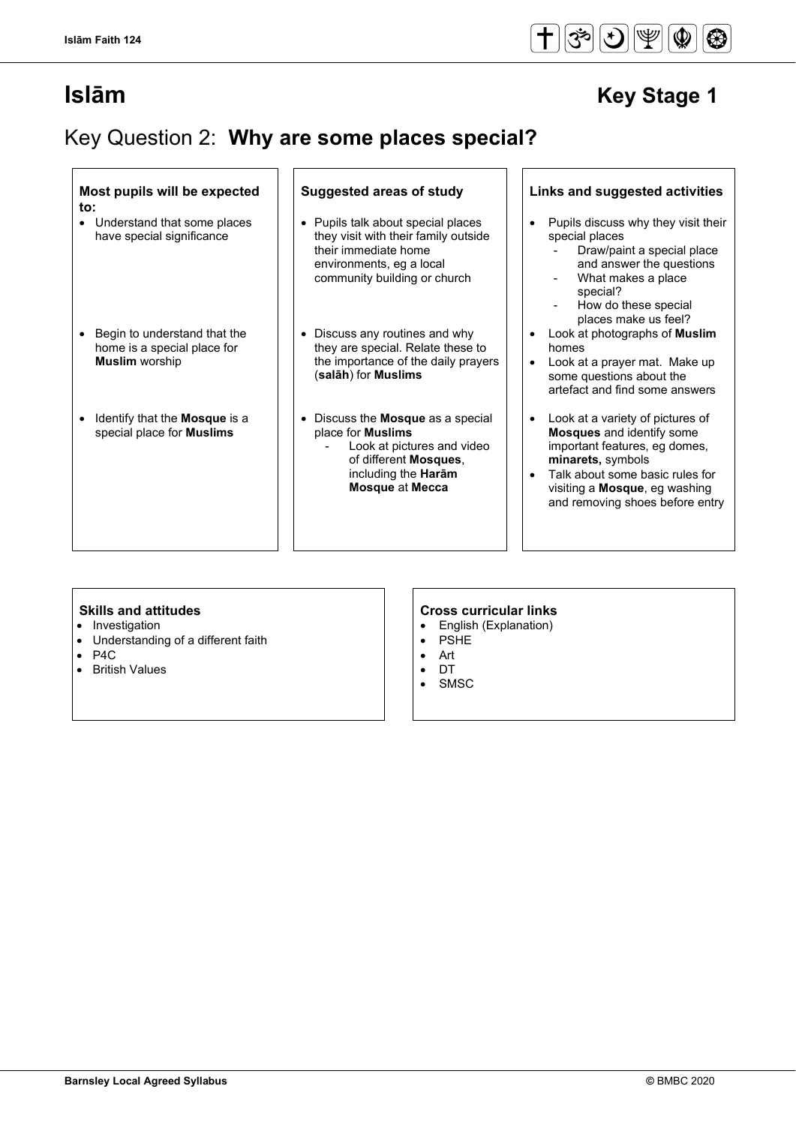$\Gamma$ 

 $\overline{\mathsf{I}}$ 

## Key Question 2: **Why are some places special?**

 $\overline{1}$   $\overline{1}$ 

| Most pupils will be expected<br>$\mathsf{to}$ :                                      | <b>Suggested areas of study</b>                                                                                                                                              | Links and suggested activities                                                                                                                                                                                                    |
|--------------------------------------------------------------------------------------|------------------------------------------------------------------------------------------------------------------------------------------------------------------------------|-----------------------------------------------------------------------------------------------------------------------------------------------------------------------------------------------------------------------------------|
| Understand that some places<br>$\bullet$<br>have special significance                | Pupils talk about special places<br>$\bullet$<br>they visit with their family outside<br>their immediate home<br>environments, eg a local<br>community building or church    | Pupils discuss why they visit their<br>special places<br>Draw/paint a special place<br>and answer the questions<br>What makes a place<br>special?<br>How do these special<br>places make us feel?                                 |
| Begin to understand that the<br>home is a special place for<br><b>Muslim</b> worship | • Discuss any routines and why<br>they are special. Relate these to<br>the importance of the daily prayers<br>(salāh) for Muslims                                            | Look at photographs of <b>Muslim</b><br>homes<br>Look at a prayer mat. Make up<br>some questions about the<br>artefact and find some answers                                                                                      |
| Identify that the <b>Mosque</b> is a<br>special place for Muslims                    | • Discuss the <b>Mosque</b> as a special<br>place for <b>Muslims</b><br>Look at pictures and video<br>of different Mosques,<br>including the Harām<br><b>Mosque at Mecca</b> | Look at a variety of pictures of<br><b>Mosques</b> and identify some<br>important features, eg domes,<br>minarets, symbols<br>Talk about some basic rules for<br>visiting a Mosque, eg washing<br>and removing shoes before entry |

- Investigation
- Understanding of a different faith
- P4C
- British Values

### **Skills and attitudes Cross curricular links**

1 F

- English (Explanation)<br>• PSHE
- **PSHE**
- Art
- DT
- **SMSC**

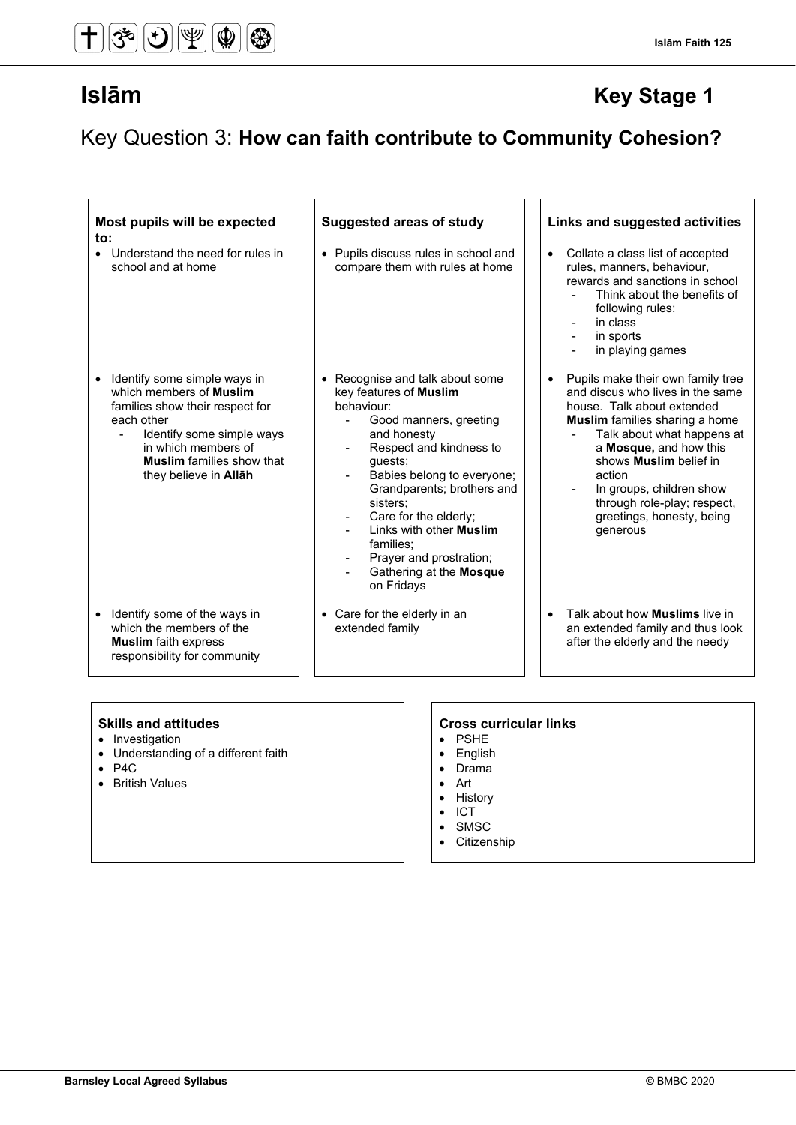Key Question 3: **How can faith contribute to Community Cohesion?**

| Most pupils will be expected<br>to:                                                                                                                                                                                                                       | <b>Suggested areas of study</b>                                                                                                                                                                                                                                                                                                                                            | Links and suggested activities                                                                                                                                                                                                                                                                                                                                   |
|-----------------------------------------------------------------------------------------------------------------------------------------------------------------------------------------------------------------------------------------------------------|----------------------------------------------------------------------------------------------------------------------------------------------------------------------------------------------------------------------------------------------------------------------------------------------------------------------------------------------------------------------------|------------------------------------------------------------------------------------------------------------------------------------------------------------------------------------------------------------------------------------------------------------------------------------------------------------------------------------------------------------------|
| • Understand the need for rules in<br>school and at home                                                                                                                                                                                                  | • Pupils discuss rules in school and<br>compare them with rules at home                                                                                                                                                                                                                                                                                                    | Collate a class list of accepted<br>$\bullet$<br>rules, manners, behaviour,<br>rewards and sanctions in school<br>Think about the benefits of<br>following rules:<br>in class<br>in sports<br>in playing games<br>$\overline{\phantom{0}}$                                                                                                                       |
| Identify some simple ways in<br>which members of <b>Muslim</b><br>families show their respect for<br>each other<br>Identify some simple ways<br>$\blacksquare$<br>in which members of<br><b>Muslim</b> families show that<br>they believe in <b>Allah</b> | • Recognise and talk about some<br>key features of Muslim<br>behaviour:<br>Good manners, greeting<br>and honesty<br>Respect and kindness to<br>guests;<br>Babies belong to everyone;<br>Grandparents; brothers and<br>sisters;<br>Care for the elderly;<br>Links with other <b>Muslim</b><br>families;<br>Prayer and prostration;<br>Gathering at the Mosque<br>on Fridays | Pupils make their own family tree<br>$\bullet$<br>and discus who lives in the same<br>house. Talk about extended<br><b>Muslim</b> families sharing a home<br>Talk about what happens at<br>a Mosque, and how this<br>shows <b>Muslim</b> belief in<br>action<br>In groups, children show<br>through role-play; respect,<br>greetings, honesty, being<br>generous |
| • Identify some of the ways in<br>which the members of the<br><b>Muslim</b> faith express<br>responsibility for community                                                                                                                                 | • Care for the elderly in an<br>extended family                                                                                                                                                                                                                                                                                                                            | Talk about how <b>Muslims</b> live in<br>an extended family and thus look<br>after the elderly and the needy                                                                                                                                                                                                                                                     |
|                                                                                                                                                                                                                                                           |                                                                                                                                                                                                                                                                                                                                                                            |                                                                                                                                                                                                                                                                                                                                                                  |

- Investigation
- Understanding of a different faith
- P4C
- British Values

### **Skills and attitudes CRS CRS CRS CRS CRS CRS CRS CRS CRS CRS CRS CRS CRS CRS CRS CRS CRS CRS CRS CRS CRS CRS CRS CRS CRS CRS CRS CRS CRS CRS CRS CRS CRS**

- PSHE
- English
- Drama
- Art
- History<br>• ICT
- ICT
- SMSC<br>• Citizen
- **Citizenship**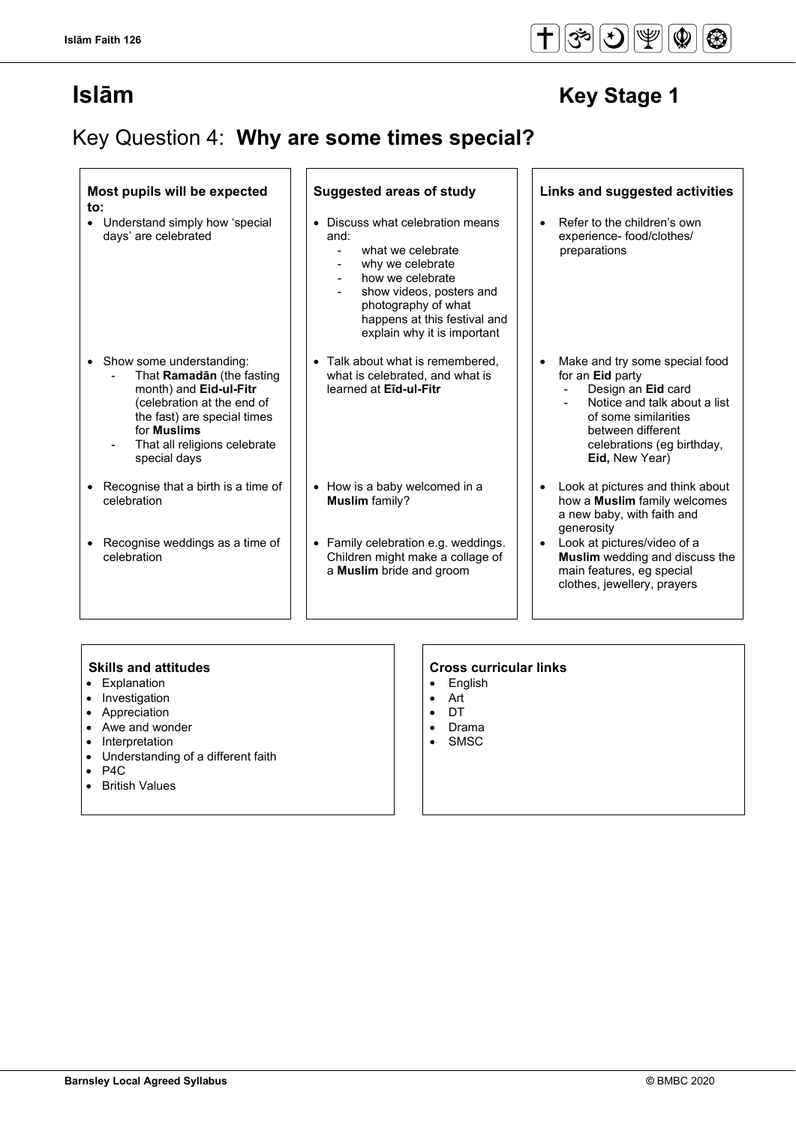## Key Question 4: **Why are some times special?**

| Most pupils will be expected<br>to:                                                                                                                                                                                                              | Suggested areas of study                                                                                                                                                                                                                          | Links and suggested activities                                                                                                                                                                               |
|--------------------------------------------------------------------------------------------------------------------------------------------------------------------------------------------------------------------------------------------------|---------------------------------------------------------------------------------------------------------------------------------------------------------------------------------------------------------------------------------------------------|--------------------------------------------------------------------------------------------------------------------------------------------------------------------------------------------------------------|
| • Understand simply how 'special<br>days' are celebrated                                                                                                                                                                                         | Discuss what celebration means<br>and:<br>what we celebrate<br>why we celebrate<br>how we celebrate<br>$\overline{\phantom{a}}$<br>show videos, posters and<br>photography of what<br>happens at this festival and<br>explain why it is important | Refer to the children's own<br>$\bullet$<br>experience- food/clothes/<br>preparations                                                                                                                        |
| • Show some understanding:<br>That Ramadan (the fasting<br>month) and Eid-ul-Fitr<br>(celebration at the end of<br>the fast) are special times<br>for <b>Muslims</b><br>That all religions celebrate<br>$\overline{\phantom{a}}$<br>special days | • Talk about what is remembered,<br>what is celebrated, and what is<br>learned at Eid-ul-Fitr                                                                                                                                                     | Make and try some special food<br>for an <b>Eid</b> party<br>Design an Eid card<br>Notice and talk about a list<br>of some similarities<br>between different<br>celebrations (eq birthday,<br>Eid, New Year) |
| • Recognise that a birth is a time of<br>celebration                                                                                                                                                                                             | • How is a baby welcomed in a<br><b>Muslim</b> family?                                                                                                                                                                                            | Look at pictures and think about<br>$\bullet$<br>how a <b>Muslim</b> family welcomes<br>a new baby, with faith and<br>generosity                                                                             |
| Recognise weddings as a time of<br>celebration                                                                                                                                                                                                   | Family celebration e.g. weddings.<br>Children might make a collage of<br>a Muslim bride and groom                                                                                                                                                 | Look at pictures/video of a<br>$\bullet$<br><b>Muslim</b> wedding and discuss the<br>main features, eg special<br>clothes, jewellery, prayers                                                                |

- Explanation
- Investigation
- Appreciation
- Awe and wonder
- Interpretation
- Understanding of a different faith
- $\bullet$  P4C
- British Values

## **Skills and attitudes**<br>• Explanation **CROS CROS CROSS CROSS CROSS CROSS CROSS CROSS CROSS CROSS CROSS CROSS CROSS CROSS CROSS CROSS CROSS CROSS CROSS CROSS CROSS CROSS CROSS CR**

- English<br>• Art
- Art
- DT
- Drama
- SMSC

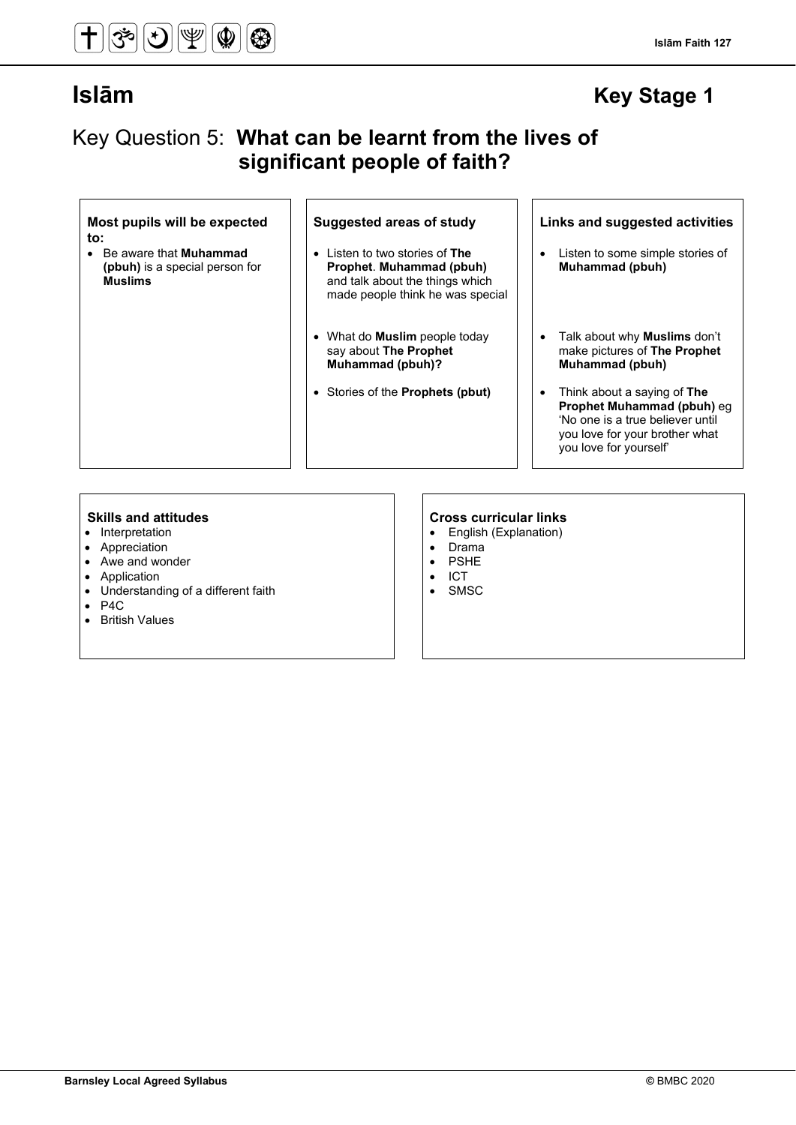#### **Islām Faith 127**

## **Islām Key Stage 1**

## Key Question 5: **What can be learnt from the lives of significant people of faith?**

#### **Most pupils will be expected to:**

• Be aware that **Muhammad (pbuh)** is a special person for **Muslims**

- Listen to two stories of **The Prophet**. **Muhammad (pbuh)**  and talk about the things which made people think he was special
- What do **Muslim** people today say about **The Prophet Muhammad (pbuh)?**
- Stories of the **Prophets (pbut)** Think about a saying of **The**

### **Suggested areas of study Links and suggested activities**

- Listen to some simple stories of **Muhammad (pbuh)**
- Talk about why **Muslims** don't make pictures of **The Prophet Muhammad (pbuh)**
- **Prophet Muhammad (pbuh)** eg 'No one is a true believer until you love for your brother what you love for yourself'

- Interpretation
- Appreciation
- Awe and wonder
- Application
- Understanding of a different faith
- P4C
- British Values

- **Skills and attitudes Cross curricular links** • English (Explanation)
	-
	- Drama<br>• PSHF **PSHE**
	- ICT
	- SMSC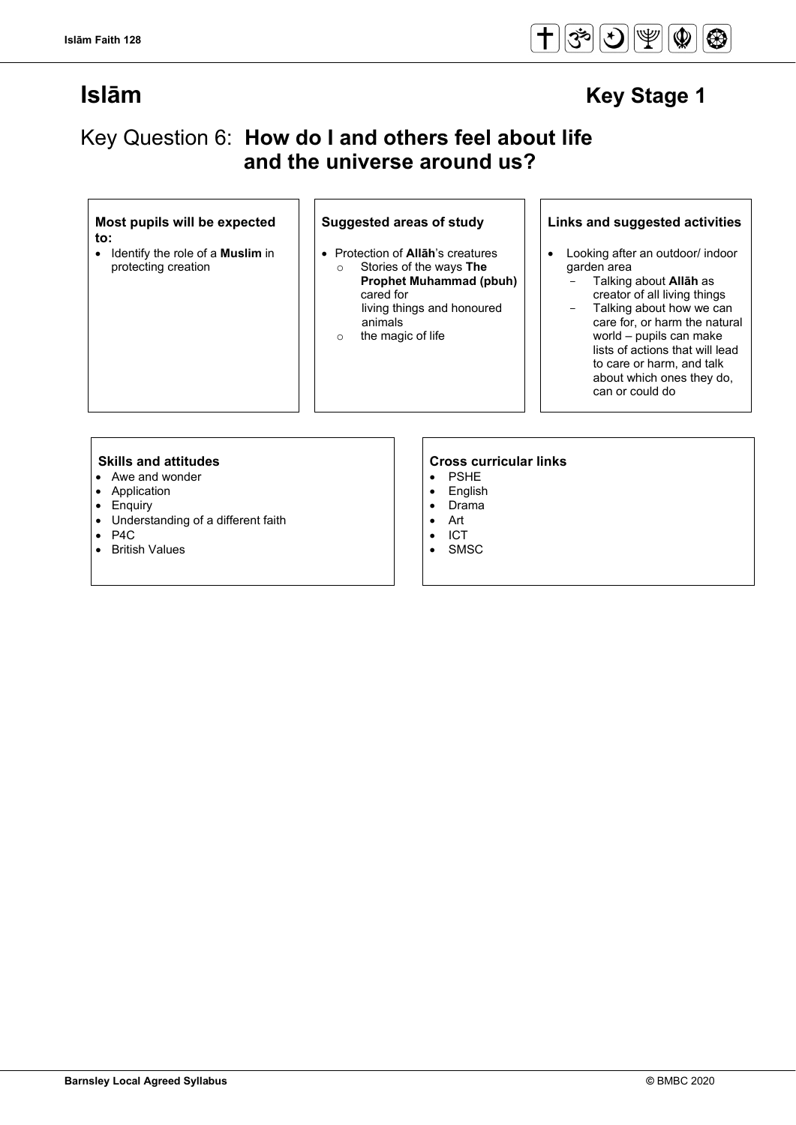

## Key Question 6: **How do I and others feel about life and the universe around us?**

#### **Most pupils will be expected to:**

• Identify the role of a **Muslim** in protecting creation

### **Suggested areas of study Links and suggested activities**

- Protection of **Allāh**'s creatures o Stories of the ways **The Prophet Muhammad (pbuh)**  cared for living things and honoured
	- animals o the magic of life

#### garden area - Talking about **Allāh** as creator of all living things

Talking about how we can care for, or harm the natural world – pupils can make lists of actions that will lead to care or harm, and talk about which ones they do, can or could do

• Looking after an outdoor/ indoor

- Awe and wonder
- Application
- Enquiry
- Understanding of a different faith
- P4C<br>• Rritis
- **British Values**

## **Skills and attitudes**<br>• Awe and wonder<br>• Awe and wonder

- **PSHE**
- English<br>• Drama
- Drama
- Art • ICT
- 
- SMSC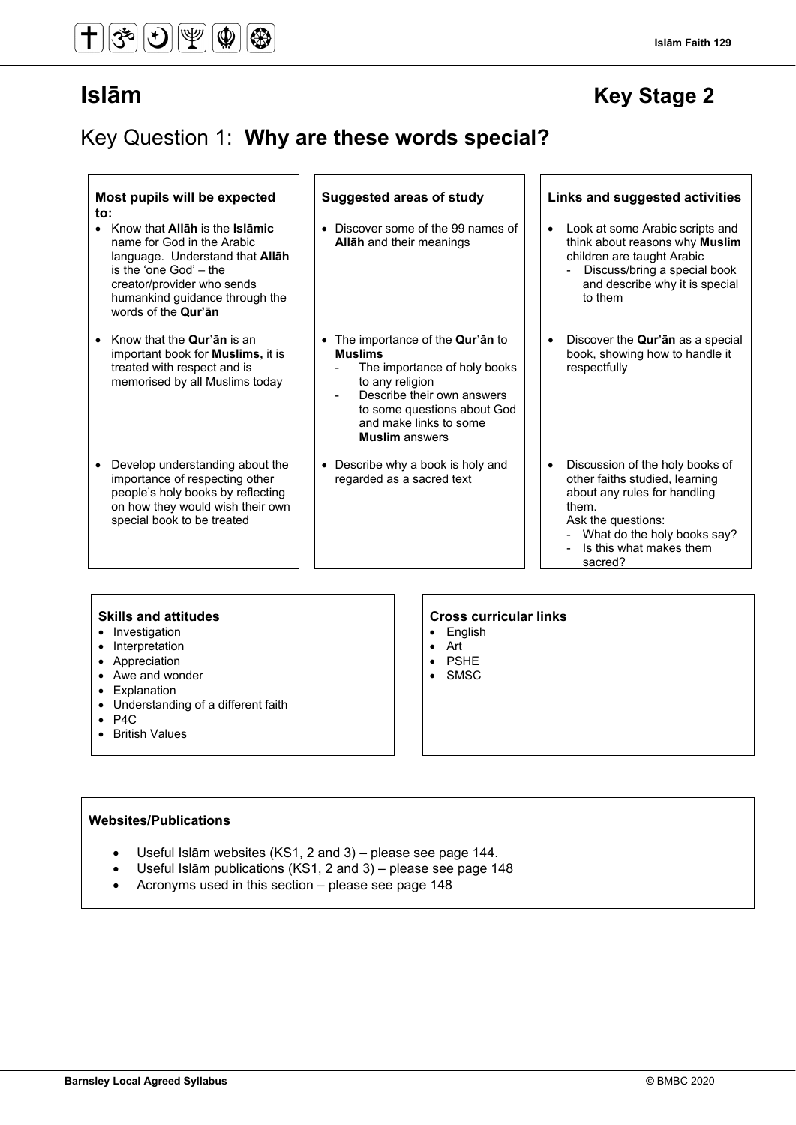**Islām Faith 129**

## Key Question 1: **Why are these words special?**

| Most pupils will be expected<br>to:<br>• Know that Allah is the Islamic<br>name for God in the Arabic<br>language. Understand that <b>Allah</b>                          | <b>Suggested areas of study</b><br>Discover some of the 99 names of<br>Allah and their meanings                                                                                                                             | Links and suggested activities<br>Look at some Arabic scripts and<br>$\bullet$<br>think about reasons why Muslim<br>children are taught Arabic                                                                                       |
|--------------------------------------------------------------------------------------------------------------------------------------------------------------------------|-----------------------------------------------------------------------------------------------------------------------------------------------------------------------------------------------------------------------------|--------------------------------------------------------------------------------------------------------------------------------------------------------------------------------------------------------------------------------------|
| is the 'one God' – the<br>creator/provider who sends<br>humankind guidance through the<br>words of the Qur'an                                                            |                                                                                                                                                                                                                             | Discuss/bring a special book<br>and describe why it is special<br>to them                                                                                                                                                            |
| Know that the <b>Qur'an</b> is an<br>$\bullet$<br>important book for <b>Muslims</b> , it is<br>treated with respect and is<br>memorised by all Muslims today             | The importance of the <b>Qur'ān</b> to<br><b>Muslims</b><br>The importance of holy books<br>to any religion<br>Describe their own answers<br>to some questions about God<br>and make links to some<br><b>Muslim</b> answers | Discover the <b>Qur'an</b> as a special<br>$\bullet$<br>book, showing how to handle it<br>respectfully                                                                                                                               |
| Develop understanding about the<br>importance of respecting other<br>people's holy books by reflecting<br>on how they would wish their own<br>special book to be treated | Describe why a book is holy and<br>regarded as a sacred text                                                                                                                                                                | Discussion of the holy books of<br>$\bullet$<br>other faiths studied, learning<br>about any rules for handling<br>them.<br>Ask the questions:<br>What do the holy books say?<br>Is this what makes them<br>$\blacksquare$<br>sacred? |

- Investigation
- Interpretation
- Appreciation
- Awe and wonder
- Explanation
- Understanding of a different faith
- P4C
- British Values

#### **Skills and attitudes CRS CRS CRS CRS CRS CRS CRS CRS CRS CRS CRS CRS CRS CRS CRS CRS CRS CRS CRS CRS CRS CRS CRS CRS CRS CRS CRS CRS CRS CRS CRS CRS CRS**

- English
- Art
- PSHE
- SMSC

### **Websites/Publications**

- Useful Islām websites (KS1, 2 and 3) please see page 144.
- Useful Islām publications (KS1, 2 and 3) please see page 148
- Acronyms used in this section please see page 148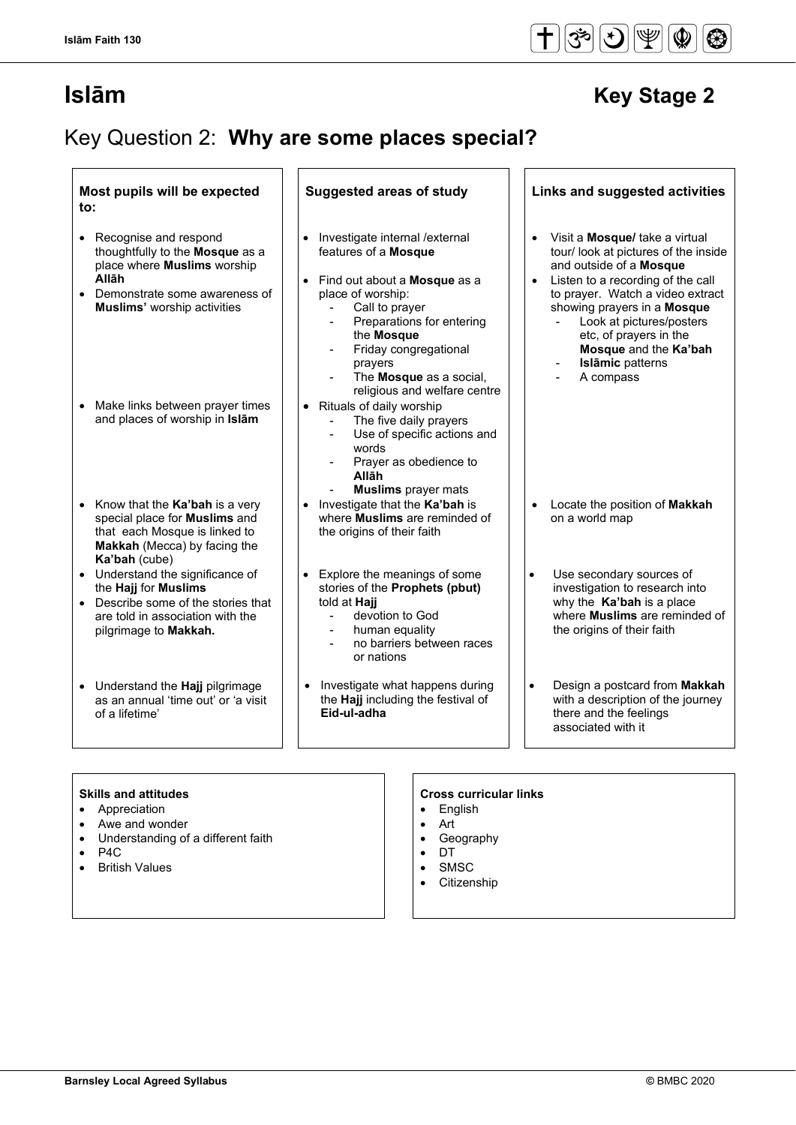## Key Question 2: **Why are some places special?**

### **Most pupils will be expected to:**

- Recognise and respond thoughtfully to the **Mosque** as a place where **Muslims** worship **Allāh**
- Demonstrate some awareness of **Muslims'** worship activities
- Make links between prayer times and places of worship in **Islām**
- Know that the **Ka'bah** is a very special place for **Muslims** and that each Mosque is linked to **Makkah** (Mecca) by facing the **Ka'bah** (cube)
- Understand the significance of the **Hajj** for **Muslims**
- Describe some of the stories that are told in association with the pilgrimage to **Makkah.**
- Understand the **Hajj** pilgrimage as an annual 'time out' or 'a visit of a lifetime'

### **Suggested areas of study Links and suggested activities**

- Investigate internal /external features of a **Mosque**
- Find out about a **Mosque** as a place of worship:
	- Call to prayer
	- Preparations for entering
	- the **Mosque**
	- Friday congregational
		- prayers
	- The **Mosque** as a social, religious and welfare centre
- Rituals of daily worship
	- The five daily prayers
	- Use of specific actions and words
	- Prayer as obedience to
	- **Allāh**
	- **Muslims** prayer mats
- Investigate that the **Ka'bah** is where **Muslims** are reminded of the origins of their faith
- Explore the meanings of some stories of the **Prophets (pbut)**  told at **Hajj**
	- devotion to God
	- human equality
	- no barriers between races or nations
- Investigate what happens during the **Hajj** including the festival of **Eid-ul-adha**
- Visit a **Mosque/** take a virtual tour/ look at pictures of the inside
- and outside of a **Mosque** Listen to a recording of the call to prayer. Watch a video extract showing prayers in a **Mosque**
	- Look at pictures/posters etc, of prayers in the **Mosque** and the **Ka'bah**
	- **Islāmic** patterns
	- A compass
- Locate the position of **Makkah** on a world map
- Use secondary sources of investigation to research into why the **Ka'bah** is a place where **Muslims** are reminded of the origins of their faith
- Design a postcard from **Makkah**  with a description of the journey there and the feelings associated with it

### **Skills and attitudes**

- **Appreciation**
- Awe and wonder
- Understanding of a different faith
- $\bullet$  P4C
- **British Values**

#### **Cross curricular links**

- **English**
- Art
- Geography
- DT **SMSC**
- **Citizenship**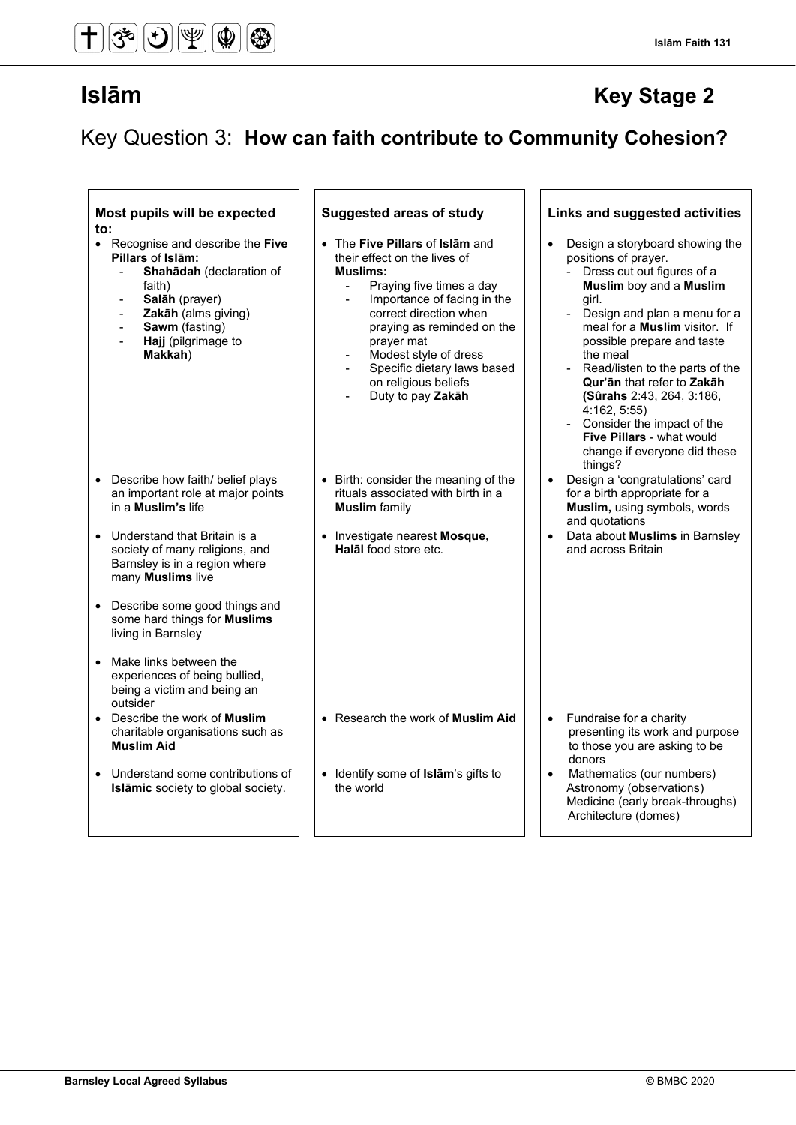Key Question 3: **How can faith contribute to Community Cohesion?**

| Most pupils will be expected<br>to:<br>• Recognise and describe the Five<br>Pillars of Islām:<br>Shahādah (declaration of<br>faith)<br>Salāh (prayer)<br>$\blacksquare$<br>Zakāh (alms giving)<br>Sawm (fasting)<br>$\overline{\phantom{a}}$<br>Hajj (pilgrimage to<br>$\blacksquare$<br>Makkah) | <b>Suggested areas of study</b><br>• The Five Pillars of Islam and<br>their effect on the lives of<br><b>Muslims:</b><br>Praying five times a day<br>$\blacksquare$<br>Importance of facing in the<br>$\blacksquare$<br>correct direction when<br>praying as reminded on the<br>prayer mat<br>Modest style of dress<br>$\blacksquare$<br>Specific dietary laws based<br>on religious beliefs<br>Duty to pay Zakāh | Links and suggested activities<br>Design a storyboard showing the<br>positions of prayer.<br>- Dress cut out figures of a<br>Muslim boy and a Muslim<br>girl.<br>Design and plan a menu for a<br>meal for a Muslim visitor. If<br>possible prepare and taste<br>the meal<br>Read/listen to the parts of the<br>$\blacksquare$<br>Qur'an that refer to Zakah<br>(Sûrahs 2:43, 264, 3:186,<br>4:162, 5:55<br>- Consider the impact of the<br>Five Pillars - what would<br>change if everyone did these<br>things? |
|--------------------------------------------------------------------------------------------------------------------------------------------------------------------------------------------------------------------------------------------------------------------------------------------------|-------------------------------------------------------------------------------------------------------------------------------------------------------------------------------------------------------------------------------------------------------------------------------------------------------------------------------------------------------------------------------------------------------------------|-----------------------------------------------------------------------------------------------------------------------------------------------------------------------------------------------------------------------------------------------------------------------------------------------------------------------------------------------------------------------------------------------------------------------------------------------------------------------------------------------------------------|
| Describe how faith/ belief plays<br>an important role at major points<br>in a Muslim's life<br>Understand that Britain is a<br>society of many religions, and<br>Barnsley is in a region where<br>many Muslims live<br>Describe some good things and<br>$\bullet$                                | • Birth: consider the meaning of the<br>rituals associated with birth in a<br><b>Muslim</b> family<br>• Investigate nearest Mosque,<br>Halāl food store etc.                                                                                                                                                                                                                                                      | Design a 'congratulations' card<br>for a birth appropriate for a<br>Muslim, using symbols, words<br>and quotations<br>Data about Muslims in Barnsley<br>and across Britain                                                                                                                                                                                                                                                                                                                                      |
| some hard things for <b>Muslims</b><br>living in Barnsley<br>Make links between the<br>experiences of being bullied,<br>being a victim and being an<br>outsider                                                                                                                                  |                                                                                                                                                                                                                                                                                                                                                                                                                   |                                                                                                                                                                                                                                                                                                                                                                                                                                                                                                                 |
| • Describe the work of Muslim<br>charitable organisations such as<br><b>Muslim Aid</b><br>Understand some contributions of<br>Islāmic society to global society.                                                                                                                                 | • Research the work of Muslim Aid<br>• Identify some of Islam's gifts to<br>the world                                                                                                                                                                                                                                                                                                                             | Fundraise for a charity<br>$\bullet$<br>presenting its work and purpose<br>to those you are asking to be<br>donors<br>Mathematics (our numbers)<br>Astronomy (observations)<br>Medicine (early break-throughs)                                                                                                                                                                                                                                                                                                  |
|                                                                                                                                                                                                                                                                                                  |                                                                                                                                                                                                                                                                                                                                                                                                                   | Architecture (domes)                                                                                                                                                                                                                                                                                                                                                                                                                                                                                            |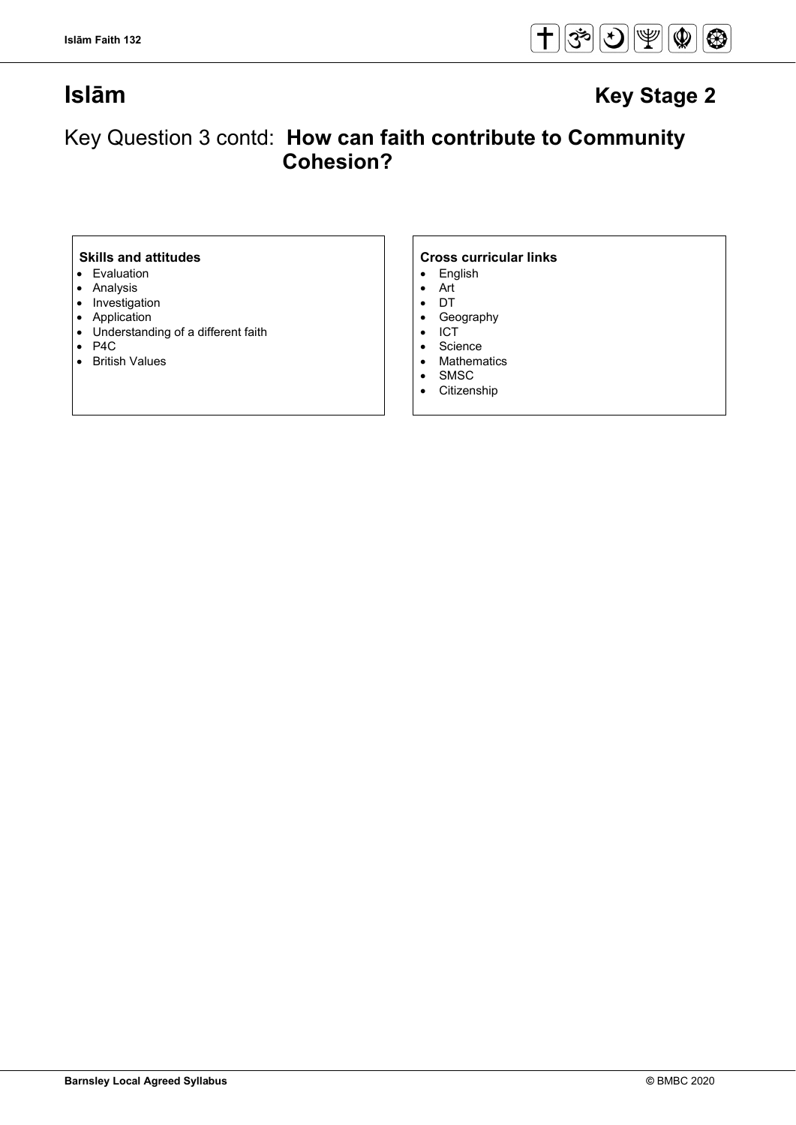

## Key Question 3 contd: **How can faith contribute to Community Cohesion?**

- Evaluation
- Analysis
- Investigation
- Application
- Understanding of a different faith
- P4C
- British Values

- English<br>• Art
- Art
- DT
- Geography<br>• ICT
- ICT<br>• Scie
- Science<br>• Mathema
- Mathematics<br>• SMSC
- SMSC<br>• Citizen
- **Citizenship**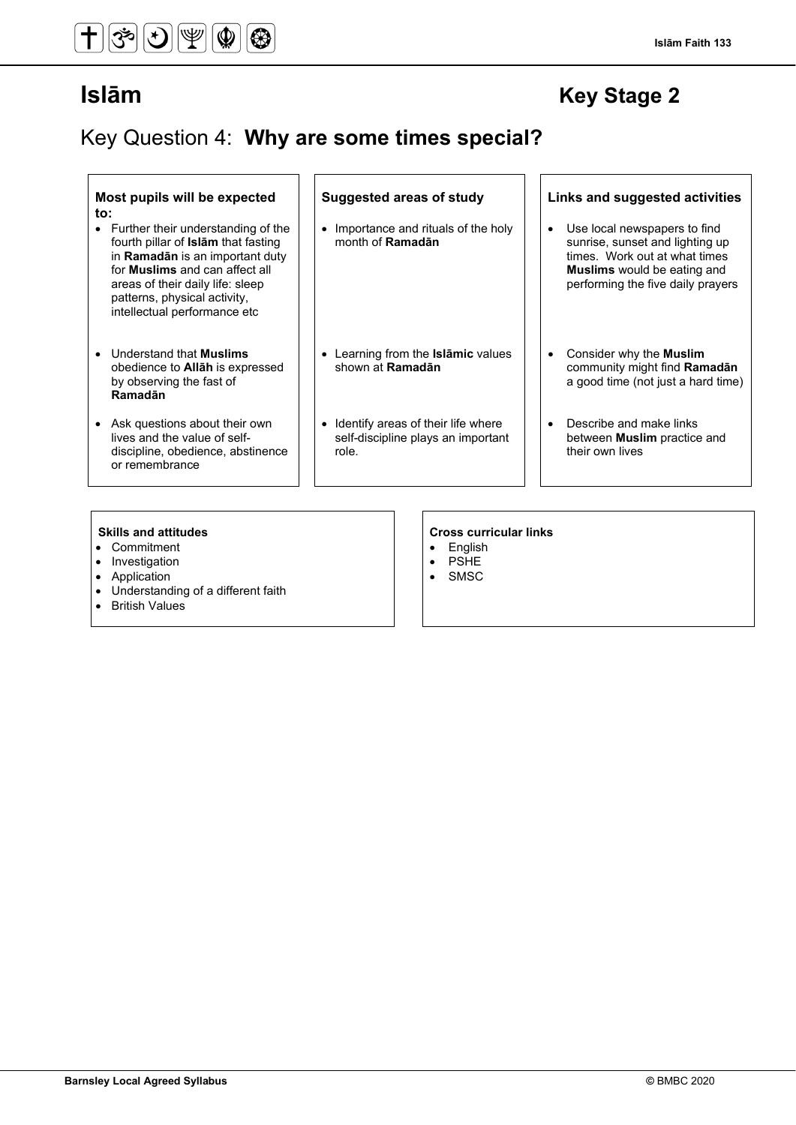## Key Question 4: **Why are some times special?**

#### **Most pupils will be expected to:**

- Further their understanding of the fourth pillar of **Islām** that fasting in **Ramadān** is an important duty for **Muslims** and can affect all areas of their daily life: sleep patterns, physical activity, intellectual performance etc
- Understand that **Muslims** obedience to **Allāh** is expressed by observing the fast of **Ramadān**
- Ask questions about their own lives and the value of selfdiscipline, obedience, abstinence or remembrance

# • Importance and rituals of the holy

month of **Ramadān**

- Learning from the **Islāmic** values shown at **Ramadān**
- Identify areas of their life where self-discipline plays an important role.

#### **Suggested areas of study Links and suggested activities**

- Use local newspapers to find sunrise, sunset and lighting up times. Work out at what times **Muslims** would be eating and performing the five daily prayers
- Consider why the **Muslim** community might find **Ramadān** a good time (not just a hard time)
- Describe and make links between **Muslim** practice and their own lives

- Commitment
- Investigation
- Application
- Understanding of a different faith
- British Values

- English
- PSHE
- SMSC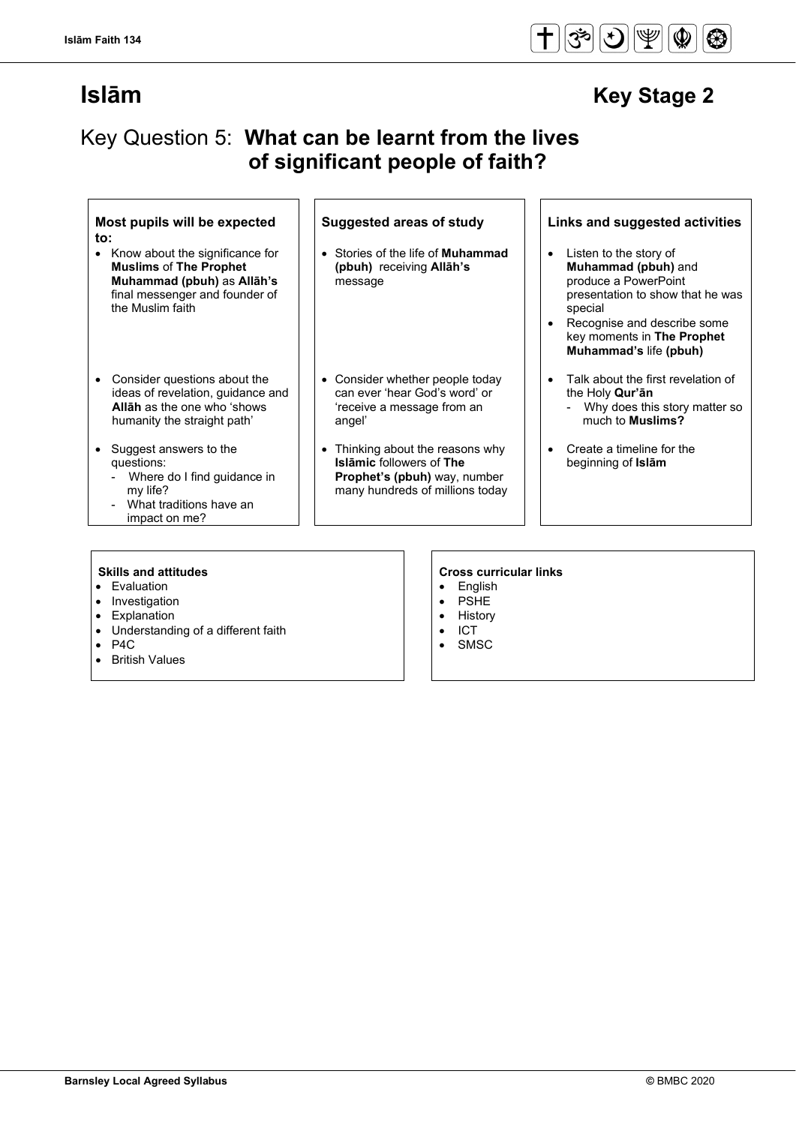## Key Question 5: **What can be learnt from the lives of significant people of faith?**

#### **Most pupils will be expected to:**

- Know about the significance for **Muslims** of **The Prophet Muhammad (pbuh)** as **Allāh's**  final messenger and founder of the Muslim faith
- Consider questions about the ideas of revelation, guidance and **Allāh** as the one who 'shows humanity the straight path'
- Suggest answers to the questions:
	- Where do I find guidance in my life?
	- What traditions have an impact on me?

- Stories of the life of **Muhammad (pbuh)** receiving **Allāh's**  message
- Consider whether people today can ever 'hear God's word' or 'receive a message from an angel'
- Thinking about the reasons why **Islāmic** followers of **The Prophet's (pbuh)** way, number many hundreds of millions today

### **Suggested areas of study Links and suggested activities**

- Listen to the story of **Muhammad (pbuh)** and produce a PowerPoint presentation to show that he was special
- Recognise and describe some key moments in **The Prophet Muhammad's** life **(pbuh)**
- Talk about the first revelation of the Holy **Qur'ān**
	- Why does this story matter so much to **Muslims?**
- Create a timeline for the beginning of **Islām**

- Evaluation
- **Investigation**
- **Explanation**
- Understanding of a different faith
- P4C
- **British Values**

- English
- PSHE
- History
- ICT
- **SMSC**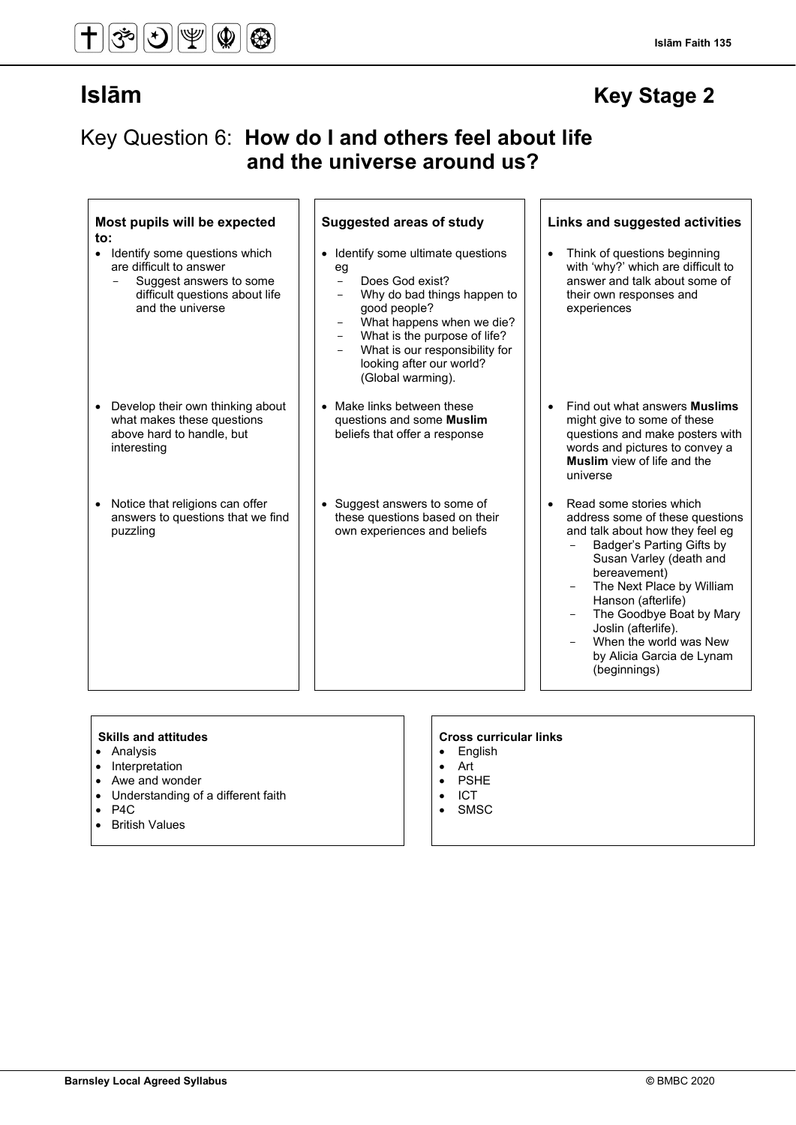#### **Islām Faith 135**

## **Islām Key Stage 2**

## Key Question 6: **How do I and others feel about life and the universe around us?**

| Most pupils will be expected<br>to:                                                                                                                    | <b>Suggested areas of study</b>                                                                                                                                                                                                                                        | Links and suggested activities                                                                                                                                                                                                                                                                                                                                  |
|--------------------------------------------------------------------------------------------------------------------------------------------------------|------------------------------------------------------------------------------------------------------------------------------------------------------------------------------------------------------------------------------------------------------------------------|-----------------------------------------------------------------------------------------------------------------------------------------------------------------------------------------------------------------------------------------------------------------------------------------------------------------------------------------------------------------|
| Identify some questions which<br>$\bullet$<br>are difficult to answer<br>Suggest answers to some<br>difficult questions about life<br>and the universe | • Identify some ultimate questions<br>eg<br>Does God exist?<br>$\equiv$<br>Why do bad things happen to<br>good people?<br>What happens when we die?<br>What is the purpose of life?<br>What is our responsibility for<br>looking after our world?<br>(Global warming). | Think of questions beginning<br>$\bullet$<br>with 'why?' which are difficult to<br>answer and talk about some of<br>their own responses and<br>experiences                                                                                                                                                                                                      |
| Develop their own thinking about<br>what makes these questions<br>above hard to handle, but<br>interesting                                             | • Make links between these<br>questions and some <b>Muslim</b><br>beliefs that offer a response                                                                                                                                                                        | Find out what answers <b>Muslims</b><br>$\bullet$<br>might give to some of these<br>questions and make posters with<br>words and pictures to convey a<br><b>Muslim</b> view of life and the<br>universe                                                                                                                                                         |
| Notice that religions can offer<br>answers to questions that we find<br>puzzling                                                                       | • Suggest answers to some of<br>these questions based on their<br>own experiences and beliefs                                                                                                                                                                          | Read some stories which<br>$\bullet$<br>address some of these questions<br>and talk about how they feel eg<br>Badger's Parting Gifts by<br>Susan Varley (death and<br>bereavement)<br>The Next Place by William<br>Hanson (afterlife)<br>The Goodbye Boat by Mary<br>Joslin (afterlife).<br>When the world was New<br>by Alicia Garcia de Lynam<br>(beginnings) |

- Analysis
- Interpretation
- Awe and wonder<br>• Understanding of
- Understanding of a different faith<br>• P4C
- P4C<br>• Britis
- **British Values**

### **Skills and attitudes CRS CRS CRS CRS CRS CRS CRS CRS CRS CRS CRS CRS CRS CRS CRS CRS CRS CRS CRS CRS CRS CRS CRS CRS CRS CRS CRS CRS CRS CRS CRS CRS CRS**

- English<br>• Art
- Art
- PSHE
- ICT<br>• SMS
- **SMSC**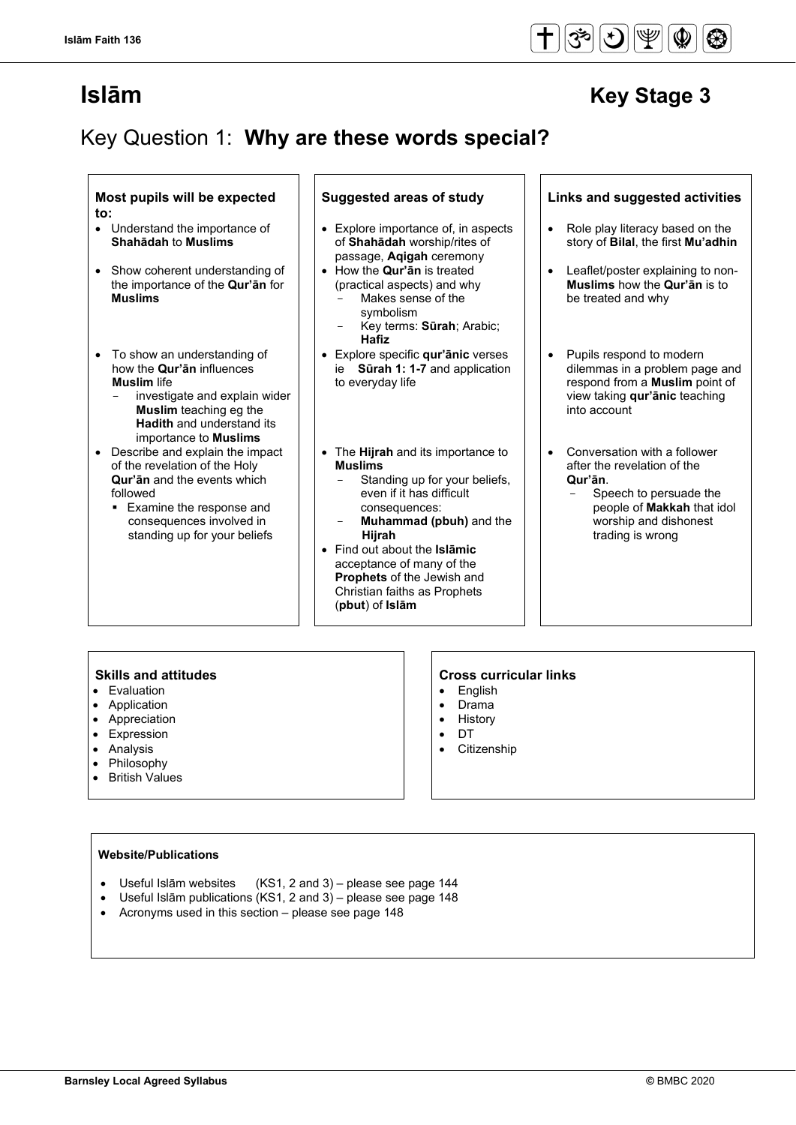## Key Question 1: **Why are these words special?**

### **Most pupils will be expected to:**

- Understand the importance of **Shahādah** to **Muslims**
- Show coherent understanding of the importance of the **Qur'ān** for **Muslims**
- To show an understanding of how the **Qur'ān** influences **Muslim** life
	- investigate and explain wider **Muslim** teaching eg the **Hadith** and understand its importance to **Muslims**
- Describe and explain the impact of the revelation of the Holy **Qur'ān** and the events which followed
	- **Examine the response and** consequences involved in standing up for your beliefs

- Explore importance of, in aspects of **Shahādah** worship/rites of passage, **Aqigah** ceremony
	- How the **Qur'ān** is treated (practical aspects) and why Makes sense of the
		- symbolism - Key terms: **Sūrah**; Arabic; **Hafiz**
- Explore specific **qur'ānic** verses ie **Sūrah 1: 1-7** and application to everyday life
- The **Hijrah** and its importance to **Muslims**
	- Standing up for your beliefs, even if it has difficult consequences:
	- **Muhammad (pbuh)** and the  **Hijrah**
- Find out about the **Islāmic** acceptance of many of the **Prophets** of the Jewish and Christian faiths as Prophets (**pbut**) of **Islām**

### **Suggested areas of study Links and suggested activities**

- Role play literacy based on the story of **Bilal**, the first **Mu'adhin**
- Leaflet/poster explaining to non-**Muslims** how the **Qur'ān** is to be treated and why
- Pupils respond to modern dilemmas in a problem page and respond from a **Muslim** point of view taking **qur'ānic** teaching into account
- Conversation with a follower after the revelation of the **Qur'ān**.
	- Speech to persuade the people of **Makkah** that idol worship and dishonest trading is wrong

- Evaluation
- **Application**
- Appreciation<br>• Expression
- **Expression**
- Analysis
- Philosophy
- British Values

### **Skills and attitudes Cross curricular links**

- English
- Drama
- History
- DT
- Citizenship

#### **Website/Publications**

- Useful Islām websites (KS1, 2 and 3) please see page 144
- Useful Islām publications (KS1, 2 and 3) please see page 148
- Acronyms used in this section please see page 148

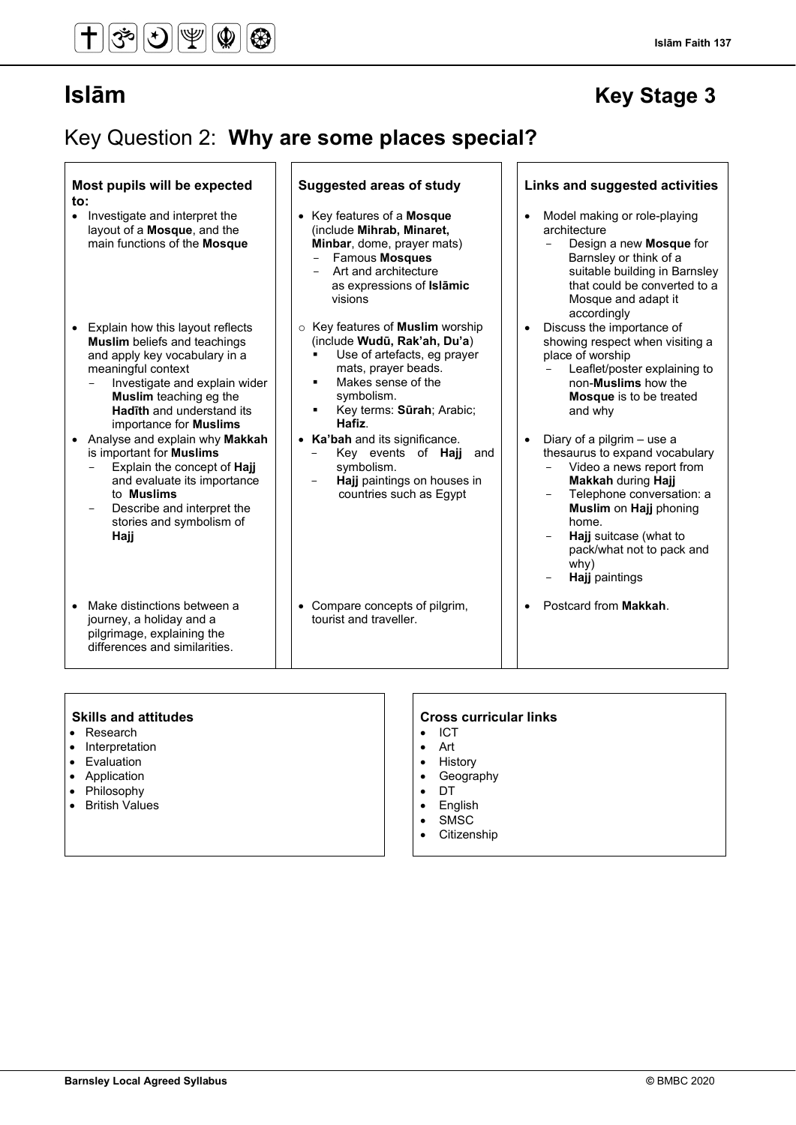#### **Islām Faith 137**

## **Islām Key Stage 3**

## Key Question 2: **Why are some places special?**

| Most pupils will be expected<br>to:                                                                                                                                                                                                                                   | <b>Suggested areas of study</b>                                                                                                                                                                                                                    | Links and suggested activities                                                                                                                                                                                                                                         |
|-----------------------------------------------------------------------------------------------------------------------------------------------------------------------------------------------------------------------------------------------------------------------|----------------------------------------------------------------------------------------------------------------------------------------------------------------------------------------------------------------------------------------------------|------------------------------------------------------------------------------------------------------------------------------------------------------------------------------------------------------------------------------------------------------------------------|
| Investigate and interpret the<br>$\bullet$<br>layout of a Mosque, and the<br>main functions of the Mosque                                                                                                                                                             | • Key features of a Mosque<br>(include Mihrab, Minaret,<br>Minbar, dome, prayer mats)<br>Famous Mosques<br>Art and architecture<br>as expressions of Islamic<br>visions                                                                            | Model making or role-playing<br>$\bullet$<br>architecture<br>Design a new Mosque for<br>$\overline{\phantom{0}}$<br>Barnsley or think of a<br>suitable building in Barnsley<br>that could be converted to a<br>Mosque and adapt it<br>accordingly                      |
| Explain how this layout reflects<br><b>Muslim</b> beliefs and teachings<br>and apply key vocabulary in a<br>meaningful context<br>Investigate and explain wider<br><b>Muslim</b> teaching eg the<br><b>Hadīth</b> and understand its<br>importance for <b>Muslims</b> | $\circ$ Key features of <b>Muslim</b> worship<br>(include Wudū, Rak'ah, Du'a)<br>Use of artefacts, eg prayer<br>mats, prayer beads.<br>Makes sense of the<br>$\blacksquare$<br>symbolism.<br>Key terms: Sūrah; Arabic;<br>$\blacksquare$<br>Hafiz. | Discuss the importance of<br>$\bullet$<br>showing respect when visiting a<br>place of worship<br>Leaflet/poster explaining to<br>non- <b>Muslims</b> how the<br><b>Mosque</b> is to be treated<br>and why                                                              |
| Analyse and explain why Makkah<br>is important for <b>Muslims</b><br>Explain the concept of Hajj<br>and evaluate its importance<br>to <b>Muslims</b><br>Describe and interpret the<br>stories and symbolism of<br>Hajj                                                | • Ka'bah and its significance.<br>Key events of <b>Hajj</b><br>and<br>symbolism.<br>Hajj paintings on houses in<br>$\overline{\phantom{0}}$<br>countries such as Egypt                                                                             | Diary of a pilgrim – use a<br>thesaurus to expand vocabulary<br>Video a news report from<br><b>Makkah during Hajj</b><br>Telephone conversation: a<br>Muslim on Hajj phoning<br>home.<br>Hajj suitcase (what to<br>pack/what not to pack and<br>why)<br>Hajj paintings |
| Make distinctions between a<br>journey, a holiday and a<br>pilgrimage, explaining the<br>differences and similarities.                                                                                                                                                | • Compare concepts of pilgrim,<br>tourist and traveller.                                                                                                                                                                                           | Postcard from Makkah.                                                                                                                                                                                                                                                  |

- Research
- Interpretation
- Evaluation
- Application
- Philosophy
- British Values

- ICT
- Art
- History
- Geography
- DT
- English • SMSC
- Citizenship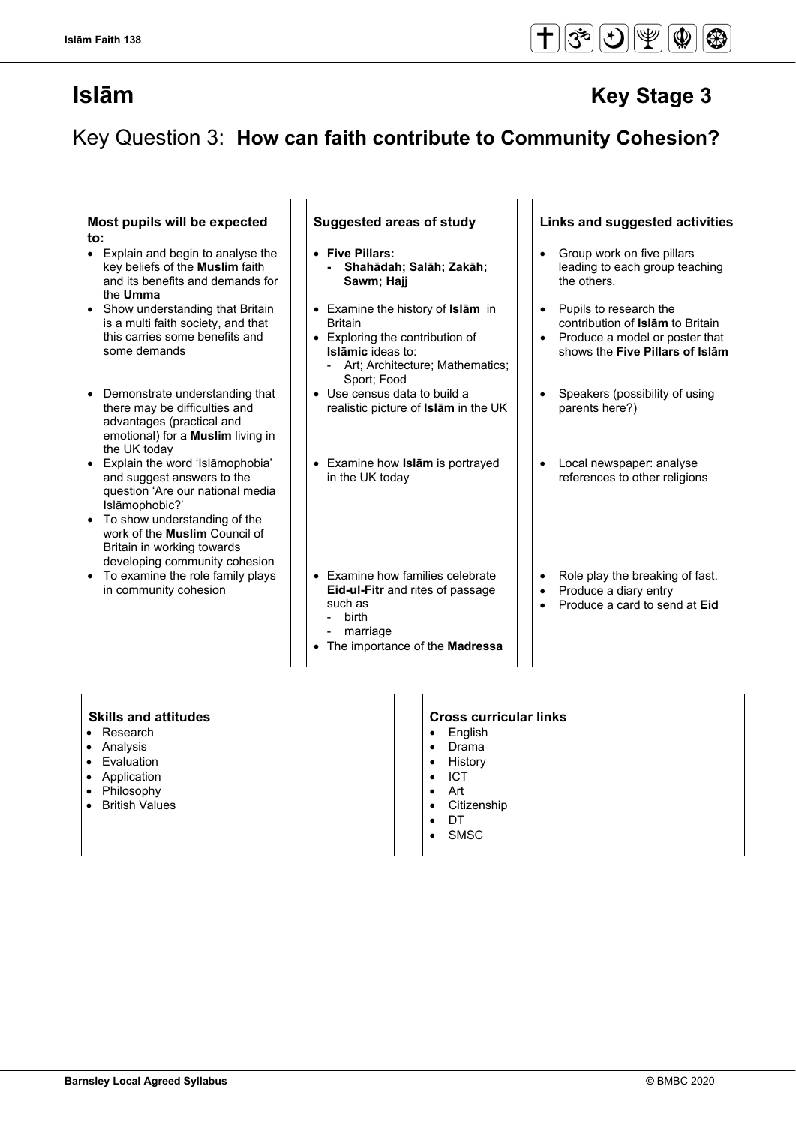## Key Question 3: **How can faith contribute to Community Cohesion?**

### **Most pupils will be expected to:**

- Explain and begin to analyse the key beliefs of the **Muslim** faith and its benefits and demands for the **Umma**
- Show understanding that Britain is a multi faith society, and that this carries some benefits and some demands
- Demonstrate understanding that there may be difficulties and advantages (practical and emotional) for a **Muslim** living in the UK today
- Explain the word 'Islāmophobia' and suggest answers to the question 'Are our national media Islāmophobic?'
- To show understanding of the work of the **Muslim** Council of Britain in working towards developing community cohesion
- To examine the role family plays in community cohesion

#### • **Five Pillars: - Shahādah; Salāh; Zakāh; Sawm; Hajj**

- Examine the history of **Islām** in Britain
- Exploring the contribution of **Islāmic** ideas to: Art; Architecture; Mathematics;
	- Sport; Food
- Use census data to build a realistic picture of **Islām** in the UK
- Examine how **Islām** is portrayed in the UK today

#### • Examine how families celebrate **Eid-ul-Fitr** and rites of passage such as

- birth
- marriage
- The importance of the **Madressa**

### **Suggested areas of study Links and suggested activities**

- Group work on five pillars leading to each group teaching the others.
- Pupils to research the contribution of **Islām** to Britain
- Produce a model or poster that shows the **Five Pillars of Islām**
- Speakers (possibility of using parents here?)
- Local newspaper: analyse references to other religions
- Role play the breaking of fast.
- Produce a diary entry
- Produce a card to send at **Eid**

- Research
- Analysis
- Evaluation
- Application
- Philosophy • British Values

- English
- Drama
- History
- ICT
- Art
- **Citizenship**
- DT **SMSC**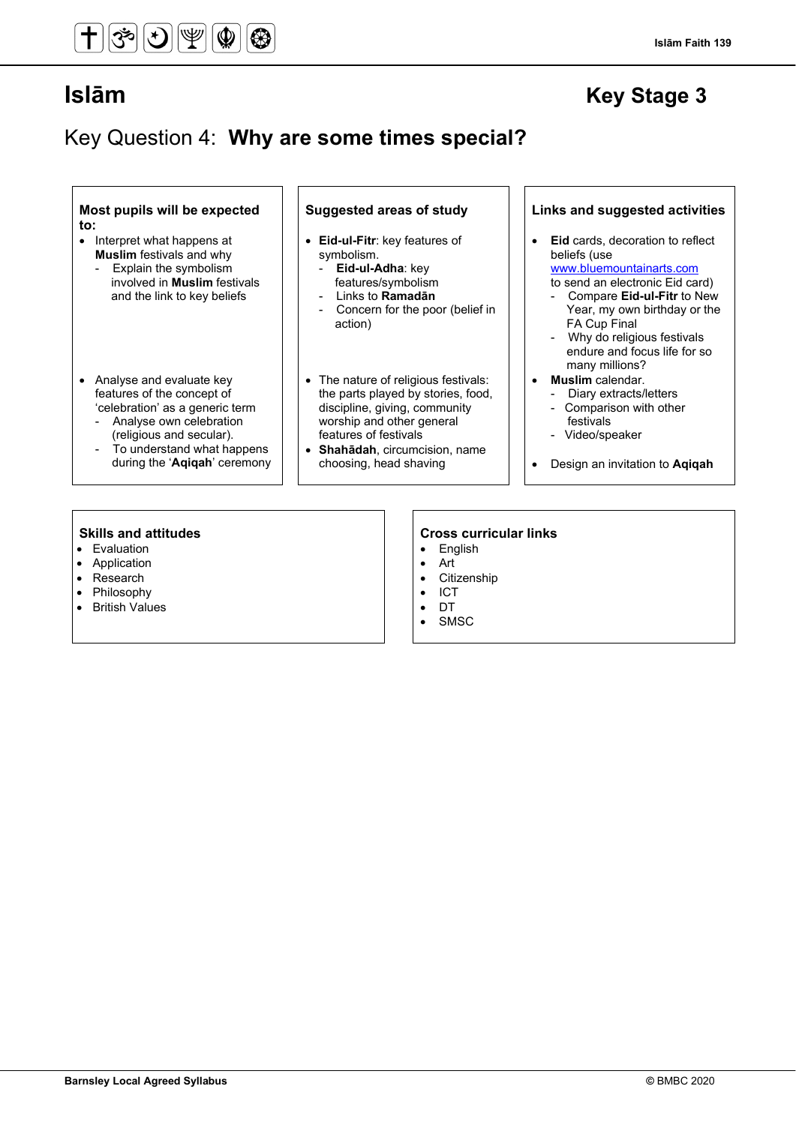#### **Islām Faith 139**

## **Islām Key Stage 3**

## Key Question 4: **Why are some times special?**

**Most pupils will be expected to:**

- Interpret what happens at **Muslim** festivals and why
	- Explain the symbolism involved in **Muslim** festivals and the link to key beliefs
- Analyse and evaluate key features of the concept of 'celebration' as a generic term
	- Analyse own celebration (religious and secular).
	- To understand what happens during the '**Aqiqah**' ceremony

- **Eid-ul-Fitr**: key features of symbolism.
	- - **Eid-ul-Adha**: key features/symbolism
	- Links to **Ramadān**
	- Concern for the poor (belief in action)
- The nature of religious festivals: the parts played by stories, food, discipline, giving, community worship and other general features of festivals
- **Shahādah**, circumcision, name choosing, head shaving

#### **Suggested areas of study Links and suggested activities**

- **Eid** cards, decoration to reflect beliefs (use [www.bluemountainarts.com](http://www.bluemountainarts.com/)
	- to send an electronic Eid card)
	- Compare **Eid-ul-Fitr** to New Year, my own birthday or the FA Cup Final
	- Why do religious festivals endure and focus life for so many millions?
	- **Muslim** calendar.
	- Diary extracts/letters
	- Comparison with other festivals
	- Video/speaker
- Design an invitation to **Aqiqah**

- Evaluation
- Application<br>• Research
- **Research**
- Philosophy
- British Values

- English
- Art
- **Citizenship**
- ICT
- DT
- SMSC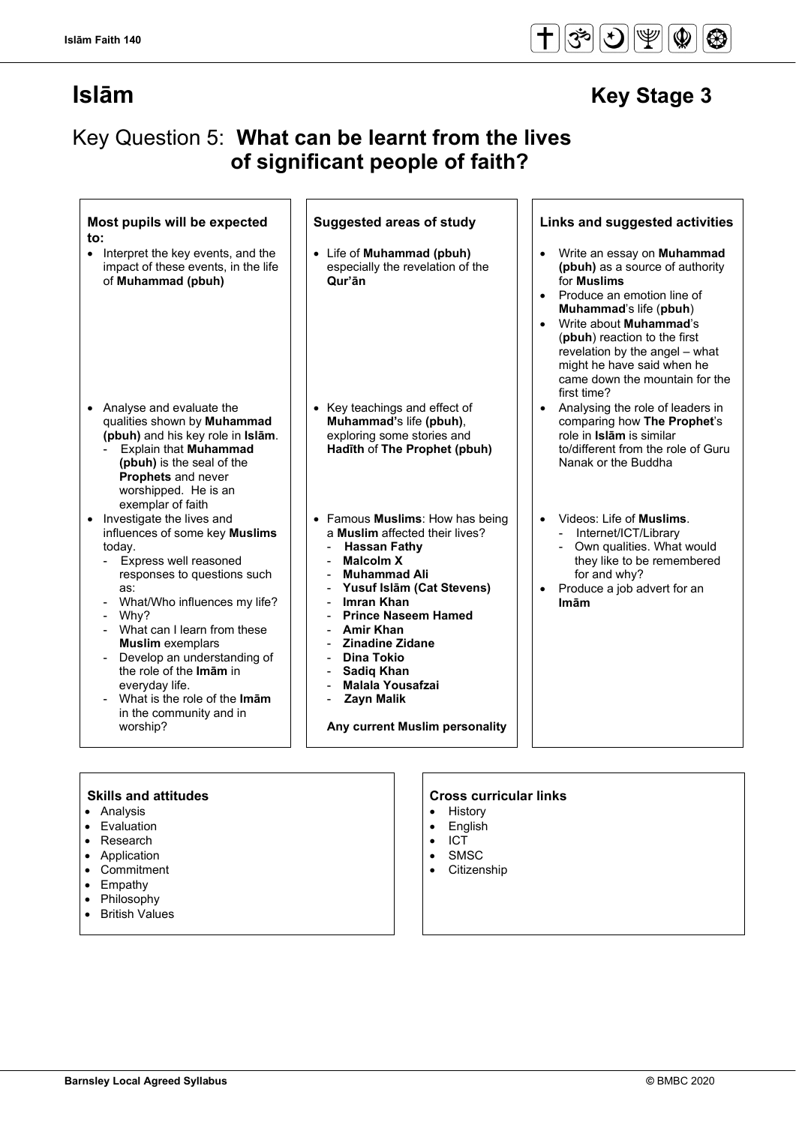#### $\check{\mathfrak{F}}$  $\mathcal{F}$ ⋓  $\mathbf{\Phi}$  $\bigcirc$

## **Islām Key Stage 3**

## Key Question 5: **What can be learnt from the lives of significant people of faith?**

| to:<br>• Interpret the key events, and the<br>impact of these events, in the life                                                                                                                                                                                                                                                                                                           | • Life of Muhammad (pbuh)                                                                                                                                                                                                                                                                                                                                                       | Write an essay on <b>Muhammad</b>                                                                                                                                                                                                                                                                             |
|---------------------------------------------------------------------------------------------------------------------------------------------------------------------------------------------------------------------------------------------------------------------------------------------------------------------------------------------------------------------------------------------|---------------------------------------------------------------------------------------------------------------------------------------------------------------------------------------------------------------------------------------------------------------------------------------------------------------------------------------------------------------------------------|---------------------------------------------------------------------------------------------------------------------------------------------------------------------------------------------------------------------------------------------------------------------------------------------------------------|
| of Muhammad (pbuh)                                                                                                                                                                                                                                                                                                                                                                          | especially the revelation of the<br>Qur'ān                                                                                                                                                                                                                                                                                                                                      | (pbuh) as a source of authority<br>for <b>Muslims</b><br>Produce an emotion line of<br>$\bullet$<br>Muhammad's life (pbuh)<br>Write about <b>Muhammad</b> 's<br>(pbuh) reaction to the first<br>revelation by the angel - what<br>might he have said when he<br>came down the mountain for the<br>first time? |
| • Analyse and evaluate the<br>qualities shown by Muhammad<br>(pbuh) and his key role in Islām.<br><b>Explain that Muhammad</b><br>(pbuh) is the seal of the<br>Prophets and never<br>worshipped. He is an<br>exemplar of faith                                                                                                                                                              | Key teachings and effect of<br>Muhammad's life (pbuh),<br>exploring some stories and<br>Hadīth of The Prophet (pbuh)                                                                                                                                                                                                                                                            | Analysing the role of leaders in<br>comparing how The Prophet's<br>role in Islām is similar<br>to/different from the role of Guru<br>Nanak or the Buddha                                                                                                                                                      |
| Investigate the lives and<br>influences of some key Muslims<br>today.<br>Express well reasoned<br>responses to questions such<br>as:<br>What/Who influences my life?<br>Why?<br>- What can I learn from these<br><b>Muslim</b> exemplars<br>Develop an understanding of<br>the role of the Imam in<br>everyday life.<br>What is the role of the Imam<br>in the community and in<br>worship? | • Famous Muslims: How has being<br>a Muslim affected their lives?<br><b>Hassan Fathy</b><br><b>Malcolm X</b><br><b>Muhammad Ali</b><br>Yusuf Islām (Cat Stevens)<br>Imran Khan<br><b>Prince Naseem Hamed</b><br><b>Amir Khan</b><br><b>Zinadine Zidane</b><br>Dina Tokio<br><b>Sadiq Khan</b><br><b>Malala Yousafzai</b><br><b>Zayn Malik</b><br>Any current Muslim personality | Videos: Life of <b>Muslims</b> .<br>$\bullet$<br>Internet/ICT/Library<br>Own qualities. What would<br>they like to be remembered<br>for and why?<br>Produce a job advert for an<br>$\bullet$<br><b>Imām</b>                                                                                                   |

- Analysis
- Evaluation
- Research
- Application
- Commitment
- Empathy • Philosophy
- 
- British Values
- History
- English
- ICT
- **SMSC**
- **Citizenship**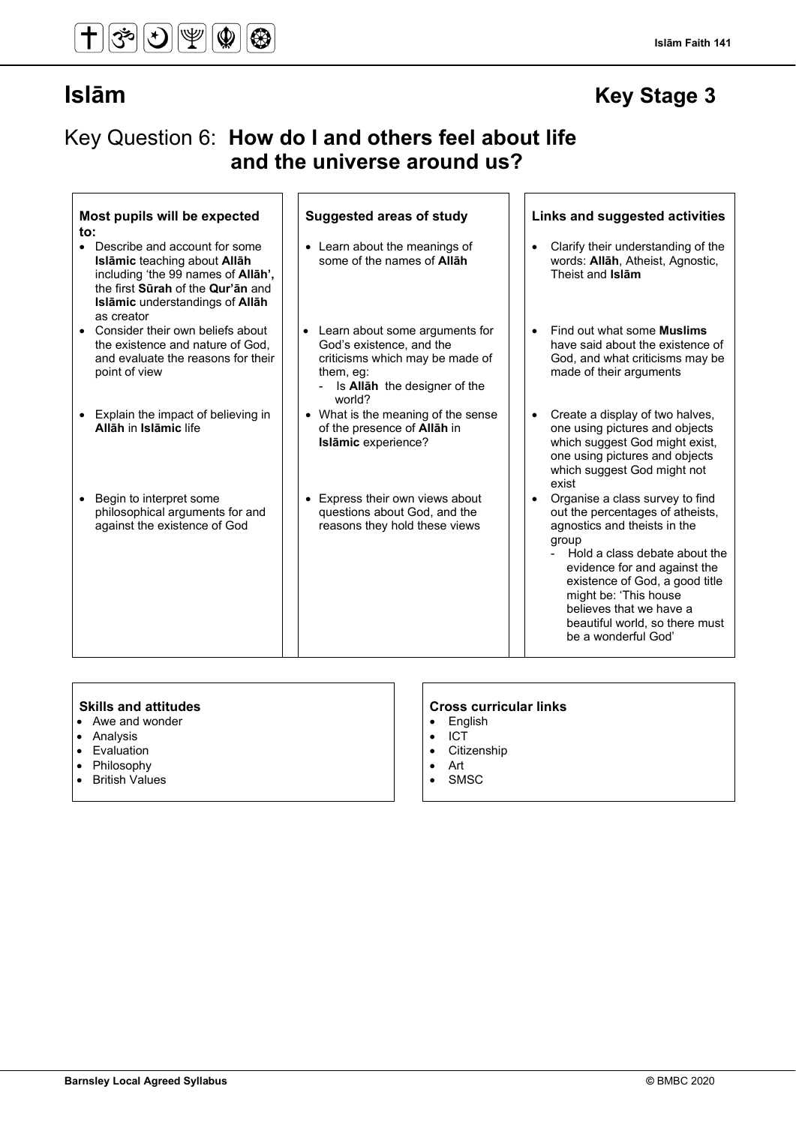#### **Islām Faith 141**

## **Islām Key Stage 3**

## Key Question 6: **How do I and others feel about life and the universe around us?**

| Most pupils will be expected<br>$\mathsf{to}$ :<br>Describe and account for some<br>Islāmic teaching about Allāh                 | <b>Suggested areas of study</b><br>• Learn about the meanings of<br>some of the names of <b>Allah</b>                                                         | Links and suggested activities<br>Clarify their understanding of the<br>words: Allah, Atheist, Agnostic,                                                                                                                                                                                                                     |
|----------------------------------------------------------------------------------------------------------------------------------|---------------------------------------------------------------------------------------------------------------------------------------------------------------|------------------------------------------------------------------------------------------------------------------------------------------------------------------------------------------------------------------------------------------------------------------------------------------------------------------------------|
| including 'the 99 names of <b>Allah'</b> ,<br>the first Surah of the Qur'an and<br>Islāmic understandings of Allah<br>as creator |                                                                                                                                                               | Theist and Islam                                                                                                                                                                                                                                                                                                             |
| Consider their own beliefs about<br>the existence and nature of God.<br>and evaluate the reasons for their<br>point of view      | Learn about some arguments for<br>God's existence, and the<br>criticisms which may be made of<br>them, eg:<br>- Is <b>Allah</b> the designer of the<br>world? | Find out what some <b>Muslims</b><br>have said about the existence of<br>God, and what criticisms may be<br>made of their arguments                                                                                                                                                                                          |
| Explain the impact of believing in<br>$\bullet$<br>Allāh in Islāmic life                                                         | • What is the meaning of the sense<br>of the presence of Allah in<br>Islāmic experience?                                                                      | Create a display of two halves,<br>$\bullet$<br>one using pictures and objects<br>which suggest God might exist,<br>one using pictures and objects<br>which suggest God might not<br>exist                                                                                                                                   |
| Begin to interpret some<br>$\bullet$<br>philosophical arguments for and<br>against the existence of God                          | Express their own views about<br>$\bullet$<br>questions about God, and the<br>reasons they hold these views                                                   | Organise a class survey to find<br>out the percentages of atheists,<br>agnostics and theists in the<br>group<br>Hold a class debate about the<br>evidence for and against the<br>existence of God, a good title<br>might be: 'This house<br>believes that we have a<br>beautiful world, so there must<br>be a wonderful God' |

- Awe and wonder
- Analysis
- Evaluation
- Philosophy
- British Values

### **Skills and attitudes CRS CRS CRS CRS CRS CRS CRS CRS CRS CRS CRS CRS CRS CRS CRS CRS CRS CRS CRS CRS CRS CRS CRS CRS CRS CRS CRS CRS CRS CRS CRS CRS CRS**

- English
- ICT<br>• Citi:
- Citizenship<br>• Art
- Art • SMSC
-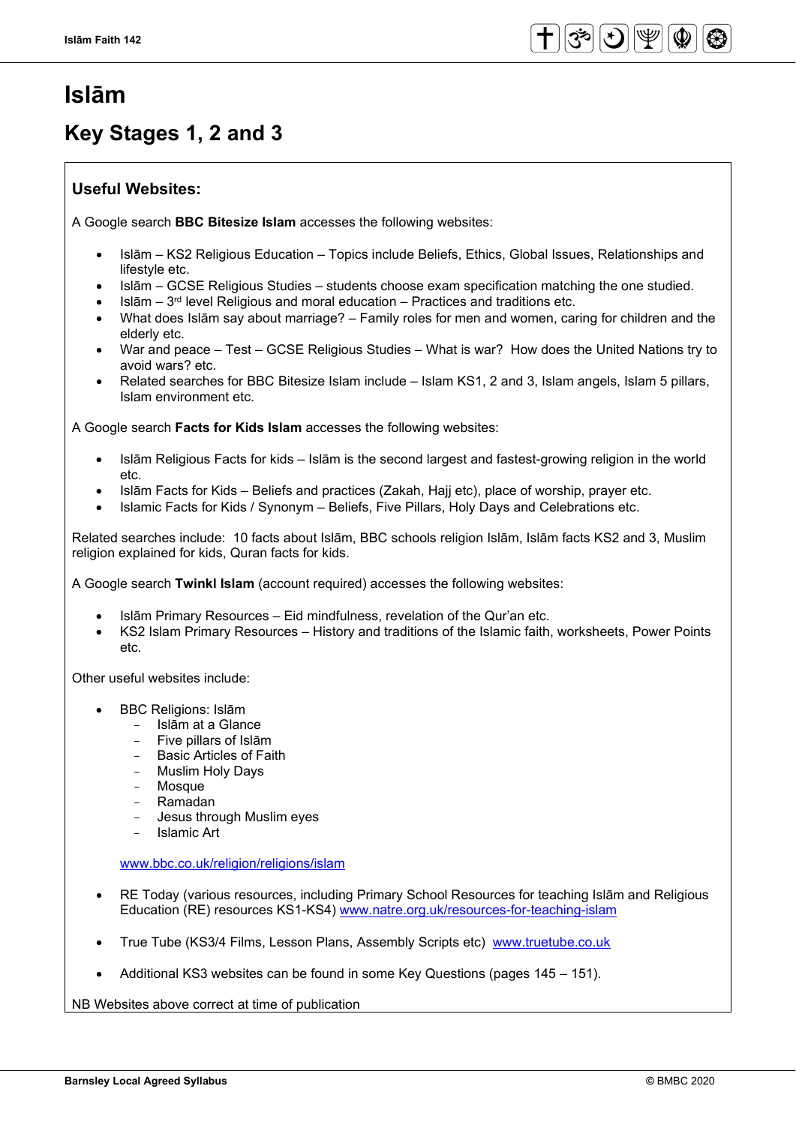## **Islām**

## **Key Stages 1, 2 and 3**

### **Useful Websites:**

A Google search **BBC Bitesize Islam** accesses the following websites:

- Islām KS2 Religious Education Topics include Beliefs, Ethics, Global Issues, Relationships and lifestyle etc.
- Islām GCSE Religious Studies students choose exam specification matching the one studied.
- $s$ lslām  $3<sup>rd</sup>$  level Religious and moral education Practices and traditions etc.
- What does Islām say about marriage? Family roles for men and women, caring for children and the elderly etc.
- War and peace Test GCSE Religious Studies What is war? How does the United Nations try to avoid wars? etc.
- Related searches for BBC Bitesize Islam include Islam KS1, 2 and 3, Islam angels, Islam 5 pillars, Islam environment etc.

A Google search **Facts for Kids Islam** accesses the following websites:

- Islām Religious Facts for kids Islām is the second largest and fastest-growing religion in the world etc.
- Islām Facts for Kids Beliefs and practices (Zakah, Hajj etc), place of worship, prayer etc.
- Islamic Facts for Kids / Synonym Beliefs, Five Pillars, Holy Days and Celebrations etc.

Related searches include: 10 facts about Islām, BBC schools religion Islām, Islām facts KS2 and 3, Muslim religion explained for kids, Quran facts for kids.

A Google search **Twinkl Islam** (account required) accesses the following websites:

- Islām Primary Resources Eid mindfulness, revelation of the Qur'an etc.
- KS2 Islam Primary Resources History and traditions of the Islamic faith, worksheets, Power Points etc.

Other useful websites include:

- BBC Religions: Islām
	- Islām at a Glance
	- Five pillars of Islām
	- Basic Articles of Faith
	- Muslim Holy Days
	- **Mosque**
	- Ramadan
	- Jesus through Muslim eyes
	- Islamic Art

[www.bbc.co.uk/religion/religions/islam](http://www.bbc.co.uk/religion/religions/islam)

- RE Today (various resources, including Primary School Resources for teaching Islām and Religious Education (RE) resources KS1-KS4) [www.natre.org.uk/resources-for-teaching-islam](http://www.natre.org.uk/resources-for-teaching-islam)
- True Tube (KS3/4 Films, Lesson Plans, Assembly Scripts etc) www.truetube.co.uk
- Additional KS3 websites can be found in some Key Questions (pages 145 151).

NB Websites above correct at time of publication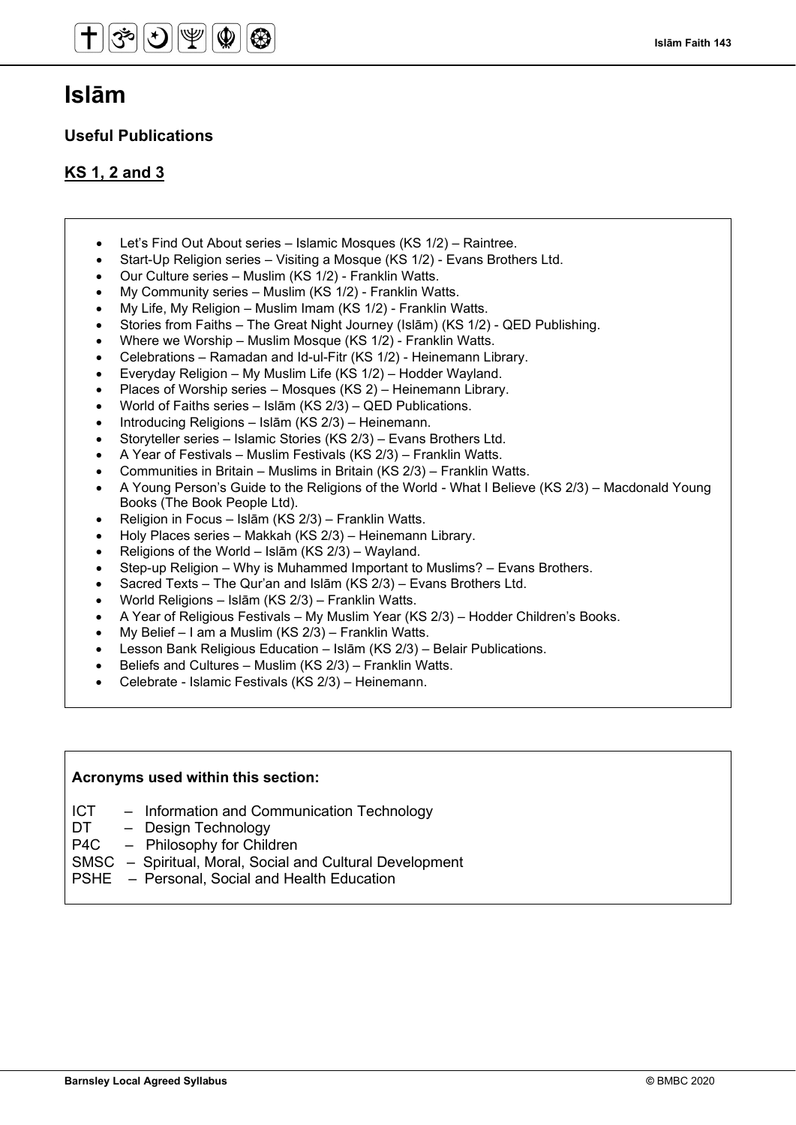## **Islām**

### **Useful Publications**

### **KS 1, 2 and 3**

- Let's Find Out About series Islamic Mosques (KS 1/2) Raintree.
- Start-Up Religion series Visiting a Mosque (KS 1/2) Evans Brothers Ltd.
- Our Culture series Muslim (KS 1/2) Franklin Watts.
- My Community series Muslim (KS 1/2) Franklin Watts.
- My Life, My Religion Muslim Imam (KS 1/2) Franklin Watts.
- Stories from Faiths The Great Night Journey (Islām) (KS 1/2) QED Publishing.
- Where we Worship Muslim Mosque (KS 1/2) Franklin Watts.
- Celebrations Ramadan and Id-ul-Fitr (KS 1/2) Heinemann Library.
- Everyday Religion My Muslim Life (KS 1/2) Hodder Wayland.
- Places of Worship series Mosques (KS 2) Heinemann Library.
- World of Faiths series Islām (KS 2/3) QED Publications.
- Introducing Religions Islām (KS 2/3) Heinemann.
- Storyteller series Islamic Stories (KS 2/3) Evans Brothers Ltd.
- A Year of Festivals Muslim Festivals (KS 2/3) Franklin Watts.
- Communities in Britain Muslims in Britain (KS 2/3) Franklin Watts.
- A Young Person's Guide to the Religions of the World What I Believe (KS 2/3) Macdonald Young Books (The Book People Ltd).
- Religion in Focus Islām (KS 2/3) Franklin Watts.
- Holy Places series Makkah (KS 2/3) Heinemann Library.
- Religions of the World Islām (KS 2/3) Wayland.
- Step-up Religion Why is Muhammed Important to Muslims? Evans Brothers.
- Sacred Texts The Qur'an and Islām (KS 2/3) Evans Brothers Ltd.
- World Religions Islām (KS 2/3) Franklin Watts.
- A Year of Religious Festivals My Muslim Year (KS 2/3) Hodder Children's Books.
- My Belief I am a Muslim (KS 2/3) Franklin Watts.
- Lesson Bank Religious Education Islām (KS 2/3) Belair Publications.
- Beliefs and Cultures Muslim (KS 2/3) Franklin Watts.
- Celebrate Islamic Festivals (KS 2/3) Heinemann.

### **Acronyms used within this section:**

- ICT Information and Communication Technology
- DT Design Technology
- P4C Philosophy for Children
- SMSC Spiritual, Moral, Social and Cultural Development
- PSHE Personal, Social and Health Education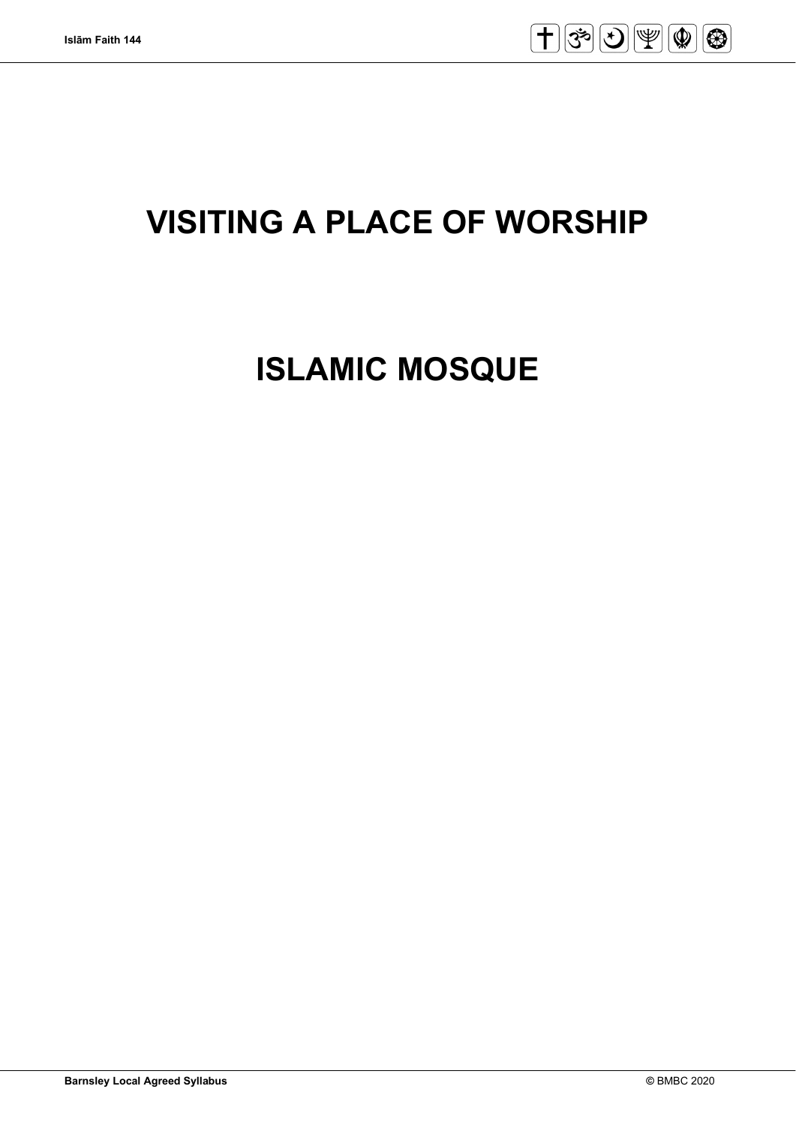

# **VISITING A PLACE OF WORSHIP**

# **ISLAMIC MOSQUE**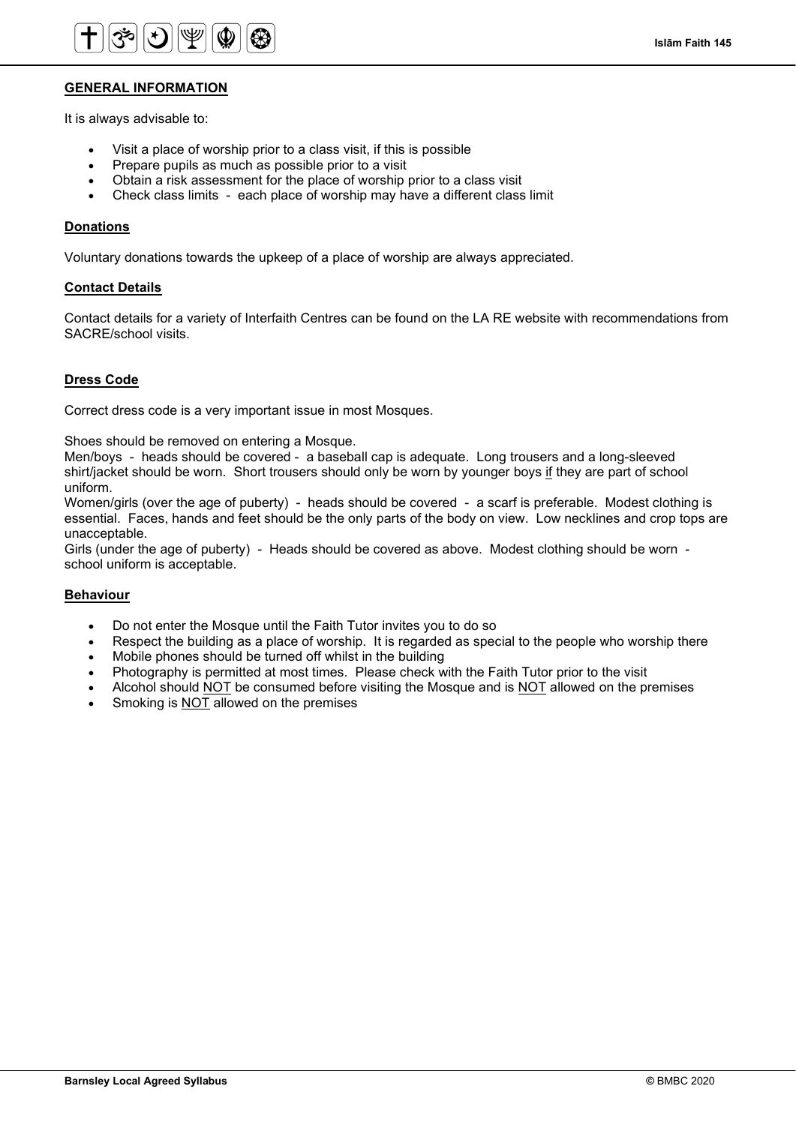

#### **GENERAL INFORMATION**

It is always advisable to:

- Visit a place of worship prior to a class visit, if this is possible
- Prepare pupils as much as possible prior to a visit
- Obtain a risk assessment for the place of worship prior to a class visit
- Check class limits each place of worship may have a different class limit

#### **Donations**

Voluntary donations towards the upkeep of a place of worship are always appreciated.

#### **Contact Details**

Contact details for a variety of Interfaith Centres can be found on the LA RE website with recommendations from SACRE/school visits.

#### **Dress Code**

Correct dress code is a very important issue in most Mosques.

Shoes should be removed on entering a Mosque.

Men/boys - heads should be covered - a baseball cap is adequate. Long trousers and a long-sleeved shirt/jacket should be worn. Short trousers should only be worn by younger boys if they are part of school uniform.

Women/girls (over the age of puberty) - heads should be covered - a scarf is preferable. Modest clothing is essential. Faces, hands and feet should be the only parts of the body on view. Low necklines and crop tops are unacceptable.

Girls (under the age of puberty) - Heads should be covered as above. Modest clothing should be worn school uniform is acceptable.

#### **Behaviour**

- Do not enter the Mosque until the Faith Tutor invites you to do so
- Respect the building as a place of worship. It is regarded as special to the people who worship there
- Mobile phones should be turned off whilst in the building
- Photography is permitted at most times. Please check with the Faith Tutor prior to the visit
- Alcohol should NOT be consumed before visiting the Mosque and is NOT allowed on the premises
- Smoking is **NOT** allowed on the premises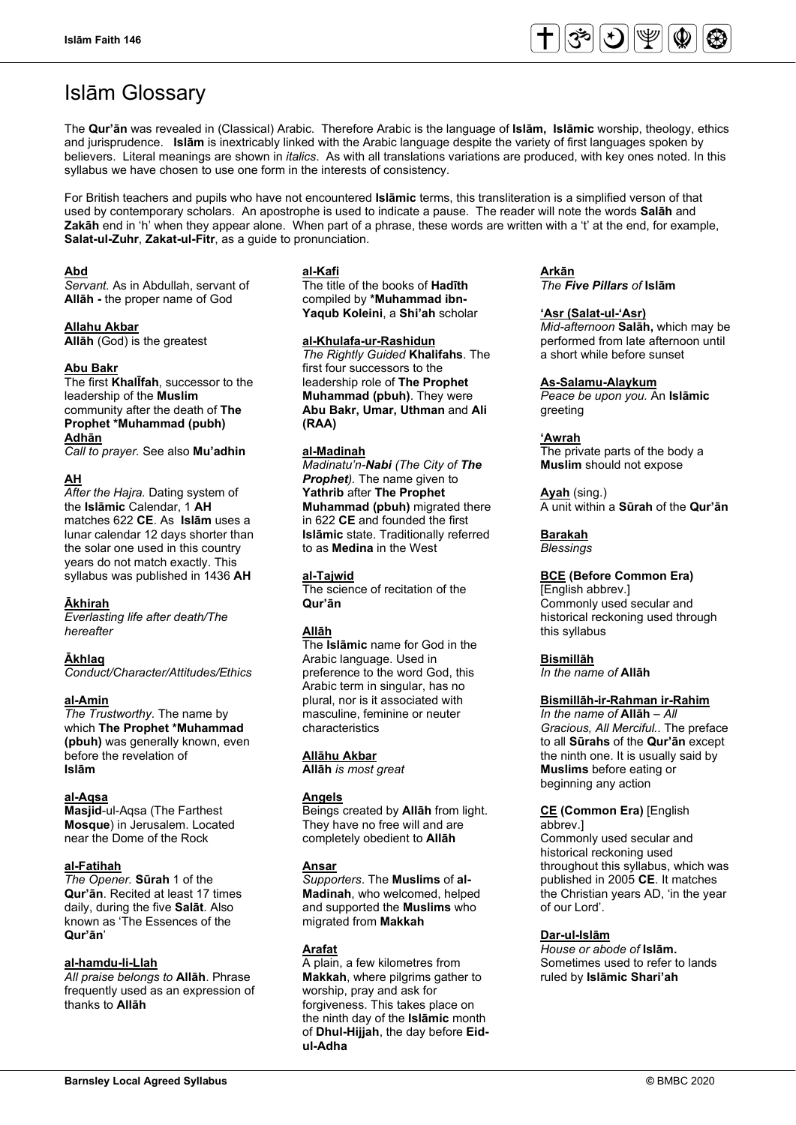

## Islām Glossary

The **Qur'ān** was revealed in (Classical) Arabic. Therefore Arabic is the language of **Islām, Islāmic** worship, theology, ethics and jurisprudence. **Islām** is inextricably linked with the Arabic language despite the variety of first languages spoken by believers. Literal meanings are shown in *italics*. As with all translations variations are produced, with key ones noted. In this syllabus we have chosen to use one form in the interests of consistency.

For British teachers and pupils who have not encountered **Islāmic** terms, this transliteration is a simplified verson of that used by contemporary scholars. An apostrophe is used to indicate a pause. The reader will note the words **Salāh** and **Zakāh** end in 'h' when they appear alone. When part of a phrase, these words are written with a 't' at the end, for example, **Salat-ul-Zuhr**, **Zakat-ul-Fitr**, as a guide to pronunciation.

#### **Abd**

*Servant.* As in Abdullah, servant of **Allāh -** the proper name of God

#### **Allahu Akbar**

**Allāh** (God) is the greatest

### **Abu Bakr**

The first **KhalĪfah**, successor to the leadership of the **Muslim** community after the death of **The Prophet \*Muhammad (pubh) Adhān**

*Call to prayer.* See also **Mu'adhin**

### **AH**

*After the Hajra.* Dating system of the **Islāmic** Calendar, 1 **AH** matches 622 **CE**. As **Islām** uses a lunar calendar 12 days shorter than the solar one used in this country years do not match exactly. This syllabus was published in 1436 **AH**

#### **Ākhirah**

*Everlasting life after death/The hereafter*

#### **Ākhlaq**

*Conduct/Character/Attitudes/Ethics*

#### **al-Amin**

*The Trustworthy.* The name by which **The Prophet \*Muhammad (pbuh)** was generally known, even before the revelation of **Islām**

#### **al-Aqsa**

**Masjid**-ul-Aqsa (The Farthest **Mosque**) in Jerusalem. Located near the Dome of the Rock

#### **al-Fatihah**

*The Opener.* **Sūrah** 1 of the **Qur'ān**. Recited at least 17 times daily, during the five **Salāt**. Also known as 'The Essences of the **Qur'ān**'

#### **al-hamdu-li-Llah**

*All praise belongs to* **Allāh**. Phrase frequently used as an expression of thanks to **Allāh**

#### **al-Kafi**

The title of the books of **Hadīth** compiled by **\*Muhammad ibn-Yaqub Koleini**, a **Shi'ah** scholar

#### **al-Khulafa-ur-Rashidun**

*The Rightly Guided* **Khalifahs**. The first four successors to the leadership role of **The Prophet Muhammad (pbuh)**. They were **Abu Bakr, Umar, Uthman** and **Ali (RAA)**

#### **al-Madinah**

*Madinatu'n-Nabi (The City of The Prophet).* The name given to **Yathrib** after **The Prophet Muhammad (pbuh)** migrated there in 622 **CE** and founded the first **Islāmic** state. Traditionally referred to as **Medina** in the West

### **al-Tajwid**

The science of recitation of the **Qur'ān**

### **Allāh**

The **Islāmic** name for God in the Arabic language. Used in preference to the word God, this Arabic term in singular, has no plural, nor is it associated with masculine, feminine or neuter characteristics

#### **Allāhu Akbar**

**Allāh** *is most great*

#### **Angels**

Beings created by **Allāh** from light. They have no free will and are completely obedient to **Allāh**

#### **Ansar**

*Supporters*. The **Muslims** of **al-Madinah**, who welcomed, helped and supported the **Muslims** who migrated from **Makkah**

#### **Arafat**

A plain, a few kilometres from **Makkah**, where pilgrims gather to worship, pray and ask for forgiveness. This takes place on the ninth day of the **Islāmic** month of **Dhul-Hijjah**, the day before **Eidul-Adha**

### **Arkān**

*The Five Pillars of* **Islām**

#### **'Asr (Salat-ul-'Asr)**

*Mid-afternoon* **Salāh,** which may be performed from late afternoon until a short while before sunset

#### **As-Salamu-Alaykum**

*Peace be upon you.* An **Islāmic**  greeting

#### **'Awrah**

The private parts of the body a **Muslim** should not expose

**Ayah** (sing.) A unit within a **Sūrah** of the **Qur'ān**

#### **Barakah**

*Blessings*

#### **BCE (Before Common Era)**

[English abbrev.] Commonly used secular and historical reckoning used through this syllabus

**Bismillāh**

*In the name of* **Allāh**

#### **Bismillāh-ir-Rahman ir-Rahim**

*In the name of* **Allāh** – *All Gracious, All Merciful.*. The preface to all **Sūrahs** of the **Qur'ān** except the ninth one. It is usually said by **Muslims** before eating or beginning any action

#### **CE (Common Era)** [English abbrev.]

Commonly used secular and historical reckoning used throughout this syllabus, which was published in 2005 **CE**. It matches the Christian years AD, 'in the year of our Lord'.

#### **Dar-ul-Islām**

*House or abode of* **Islām.**  Sometimes used to refer to lands ruled by **Islāmic Shari'ah**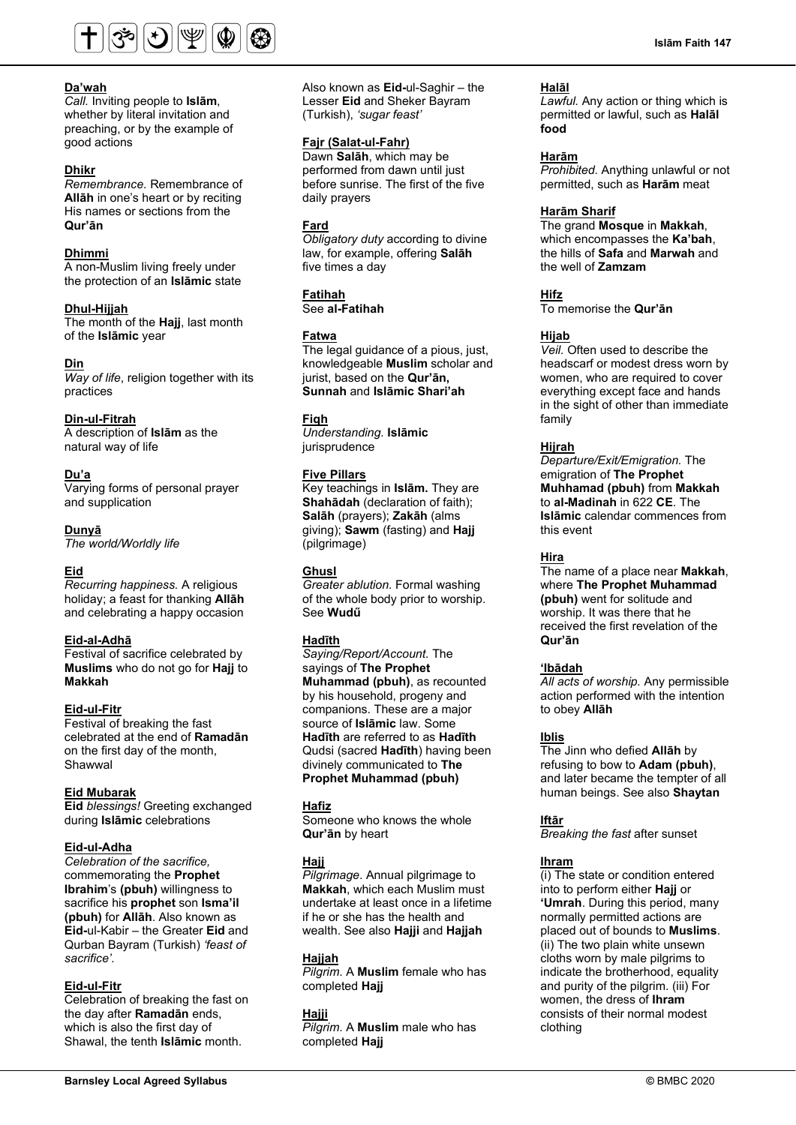

*Call.* Inviting people to **Islām**, whether by literal invitation and preaching, or by the example of good actions

#### **Dhikr**

*Remembrance.* Remembrance of **Allāh** in one's heart or by reciting His names or sections from the **Qur'ān**

#### **Dhimmi**

A non-Muslim living freely under the protection of an **Islāmic** state

#### **Dhul-Hijjah**

The month of the **Hajj**, last month of the **Islāmic** year

#### **Din**

*Way of life*, religion together with its practices

#### **Din-ul-Fitrah**

A description of **Islām** as the natural way of life

#### **Du'a**

Varying forms of personal prayer and supplication

#### **Dunyā**

*The world/Worldly life*

#### **Eid**

*Recurring happiness.* A religious holiday; a feast for thanking **Allāh**  and celebrating a happy occasion

#### **Eid-al-Adhā**

Festival of sacrifice celebrated by **Muslims** who do not go for **Hajj** to **Makkah**

#### **Eid-ul-Fitr**

Festival of breaking the fast celebrated at the end of **Ramadān** on the first day of the month, Shawwal

#### **Eid Mubarak**

**Eid** *blessings!* Greeting exchanged during **Islāmic** celebrations

#### **Eid-ul-Adha**

*Celebration of the sacrifice,* commemorating the **Prophet Ibrahim**'s **(pbuh)** willingness to sacrifice his **prophet** son **Isma'il (pbuh)** for **Allāh**. Also known as **Eid-**ul-Kabir – the Greater **Eid** and Qurban Bayram (Turkish) *'feast of sacrifice'.*

#### **Eid-ul-Fitr**

Celebration of breaking the fast on the day after **Ramadān** ends, which is also the first day of Shawal, the tenth **Islāmic** month.

Also known as **Eid-**ul-Saghir – the Lesser **Eid** and Sheker Bayram (Turkish), *'sugar feast'*

#### **Fajr (Salat-ul-Fahr)**

Dawn **Salāh**, which may be performed from dawn until just before sunrise. The first of the five daily prayers

#### **Fard**

*Obligatory duty* according to divine law, for example, offering **Salāh** five times a day

#### **Fatihah**

See **al-Fatihah**

#### **Fatwa**

The legal guidance of a pious, just, knowledgeable **Muslim** scholar and jurist, based on the **Qur'ān, Sunnah** and **Islāmic Shari'ah**

#### **Fiqh**

*Understanding.* **Islāmic jurisprudence** 

#### **Five Pillars**

Key teachings in **Islām.** They are **Shahādah** (declaration of faith); **Salāh** (prayers); **Zakāh** (alms giving); **Sawm** (fasting) and **Hajj** (pilgrimage)

#### **Ghusl**

*Greater ablution.* Formal washing of the whole body prior to worship. See **Wudű**

#### **Hadīth**

*Saying/Report/Account.* The sayings of **The Prophet Muhammad (pbuh)**, as recounted by his household, progeny and companions. These are a major source of **Islāmic** law. Some **Hadīth** are referred to as **Hadīth** Qudsi (sacred **Hadīth**) having been divinely communicated to **The Prophet Muhammad (pbuh)**

#### **Hafiz**

Someone who knows the whole **Qur'ān** by heart

#### **Hajj**

*Pilgrimage*. Annual pilgrimage to **Makkah**, which each Muslim must undertake at least once in a lifetime if he or she has the health and wealth. See also **Hajji** and **Hajjah**

#### **Hajjah**

*Pilgrim*. A **Muslim** female who has completed **Hajj**

#### **Hajji**

*Pilgrim*. A **Muslim** male who has completed **Hajj**

#### **Halāl**

*Lawful.* Any action or thing which is permitted or lawful, such as **Halāl food**

#### **Harām**

*Prohibited.* Anything unlawful or not permitted, such as **Harām** meat

#### **Harām Sharif**

The grand **Mosque** in **Makkah**, which encompasses the **Ka'bah**, the hills of **Safa** and **Marwah** and the well of **Zamzam**

### **Hifz**

To memorise the **Qur'ān**

### **Hijab**

*Veil.* Often used to describe the headscarf or modest dress worn by women, who are required to cover everything except face and hands in the sight of other than immediate family

#### **Hijrah**

*Departure/Exit/Emigration.* The emigration of **The Prophet Muhhamad (pbuh)** from **Makkah** to **al-Madinah** in 622 **CE**. The **Islāmic** calendar commences from this event

#### **Hira**

The name of a place near **Makkah**, where **The Prophet Muhammad (pbuh)** went for solitude and worship. It was there that he received the first revelation of the **Qur'ān**

#### **'Ibādah**

*All acts of worship.* Any permissible action performed with the intention to obey **Allāh**

#### **Iblis**

The Jinn who defied **Allāh** by refusing to bow to **Adam (pbuh)**, and later became the tempter of all human beings. See also **Shaytan**

#### **Iftār**

*Breaking the fast* after sunset

#### **Ihram**

(i) The state or condition entered into to perform either **Hajj** or **'Umrah**. During this period, many normally permitted actions are placed out of bounds to **Muslims**. (ii) The two plain white unsewn cloths worn by male pilgrims to indicate the brotherhood, equality and purity of the pilgrim. (iii) For women, the dress of **Ihram** consists of their normal modest clothing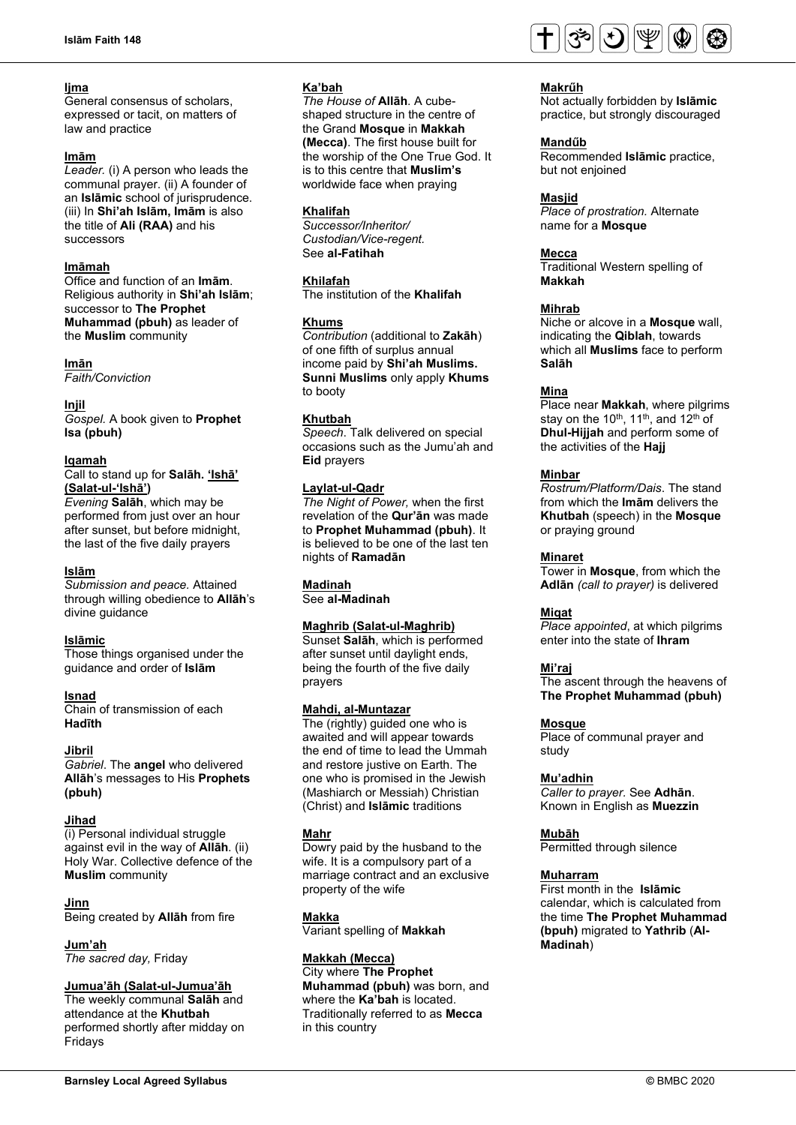#### **ljma**

General consensus of scholars, expressed or tacit, on matters of law and practice

#### **Imām**

*Leader.* (i) A person who leads the communal prayer. (ii) A founder of an **Islāmic** school of jurisprudence. (iii) In **Shi'ah Islām, Imām** is also the title of **Ali (RAA)** and his successors

#### **Imāmah**

Office and function of an **Imām**. Religious authority in **Shi'ah Islām**; successor to **The Prophet Muhammad (pbuh)** as leader of the **Muslim** community

#### **Imān**

*Faith/Conviction*

#### **Injil**

*Gospel.* A book given to **Prophet Isa (pbuh)**

#### **Iqamah**

Call to stand up for **Salāh. 'Ishā' (Salat-ul-'Ishā')** 

*Evening* **Salāh**, which may be performed from just over an hour after sunset, but before midnight, the last of the five daily prayers

#### **Islām**

*Submission and peace.* Attained through willing obedience to **Allāh**'s divine guidance

#### **Islāmic**

Those things organised under the guidance and order of **Islām**

#### **Isnad**

Chain of transmission of each **Hadīth**

### **Jibril**

*Gabriel*. The **angel** who delivered **Allāh**'s messages to His **Prophets (pbuh)**

#### **Jihad**

(i) Personal individual struggle against evil in the way of **Allāh**. (ii) Holy War. Collective defence of the **Muslim** community

**Jinn** Being created by **Allāh** from fire

**Jum'ah** *The sacred day,* Friday

#### **Jumua'āh (Salat-ul-Jumua'āh**

The weekly communal **Salāh** and attendance at the **Khutbah** performed shortly after midday on Fridays

#### **Ka'bah**

*The House of* **Allāh**. A cubeshaped structure in the centre of the Grand **Mosque** in **Makkah (Mecca)**. The first house built for the worship of the One True God. It is to this centre that **Muslim's** worldwide face when praying

#### **Khalifah**

*Successor/Inheritor/ Custodian/Vice-regent.* See **al-Fatihah**

### **Khilafah**

The institution of the **Khalifah**

#### **Khums**

*Contribution* (additional to **Zakāh**) of one fifth of surplus annual income paid by **Shi'ah Muslims. Sunni Muslims** only apply **Khums** to booty

#### **Khutbah**

*Speech*. Talk delivered on special occasions such as the Jumu'ah and **Eid** prayers

#### **Laylat-ul-Qadr**

*The Night of Power,* when the first revelation of the **Qur'ān** was made to **Prophet Muhammad (pbuh)**. It is believed to be one of the last ten nights of **Ramadān**

### **Madinah**

See **al-Madinah**

### **Maghrib (Salat-ul-Maghrib)**

Sunset **Salāh**, which is performed after sunset until daylight ends, being the fourth of the five daily prayers

#### **Mahdi, al-Muntazar**

The (rightly) guided one who is awaited and will appear towards the end of time to lead the Ummah and restore justive on Earth. The one who is promised in the Jewish (Mashiarch or Messiah) Christian (Christ) and **Islāmic** traditions

#### **Mahr**

Dowry paid by the husband to the wife. It is a compulsory part of a marriage contract and an exclusive property of the wife

#### **Makka**

Variant spelling of **Makkah**

#### **Makkah (Mecca)**

City where **The Prophet Muhammad (pbuh)** was born, and where the **Ka'bah** is located. Traditionally referred to as **Mecca** in this country



#### **Makrűh**

Not actually forbidden by **Islāmic** practice, but strongly discouraged

#### **Mandűb**

Recommended **Islāmic** practice, but not enjoined

#### **Masjid**

*Place of prostration.* Alternate name for a **Mosque**

#### **Mecca**

Traditional Western spelling of **Makkah**

#### **Mihrab**

Niche or alcove in a **Mosque** wall, indicating the **Qiblah**, towards which all **Muslims** face to perform **Salāh**

#### **Mina**

Place near **Makkah**, where pilgrims stay on the 10<sup>th</sup>, 11<sup>th</sup>, and 12<sup>th</sup> of **Dhul-Hijjah** and perform some of the activities of the **Hajj**

#### **Minbar**

*Rostrum/Platform/Dais*. The stand from which the **Imām** delivers the **Khutbah** (speech) in the **Mosque** or praying ground

#### **Minaret**

Tower in **Mosque**, from which the **Adlān** *(call to prayer)* is delivered

#### **Miqat**

*Place appointed*, at which pilgrims enter into the state of **Ihram**

#### **Mi'raj**

The ascent through the heavens of **The Prophet Muhammad (pbuh)**

#### **Mosque**

Place of communal prayer and study

#### **Mu'adhin**

*Caller to prayer.* See **Adhān**. Known in English as **Muezzin**

#### **Mubāh**

Permitted through silence

#### **Muharram**

First month in the **Islāmic** calendar, which is calculated from the time **The Prophet Muhammad (bpuh)** migrated to **Yathrib** (**Al-Madinah**)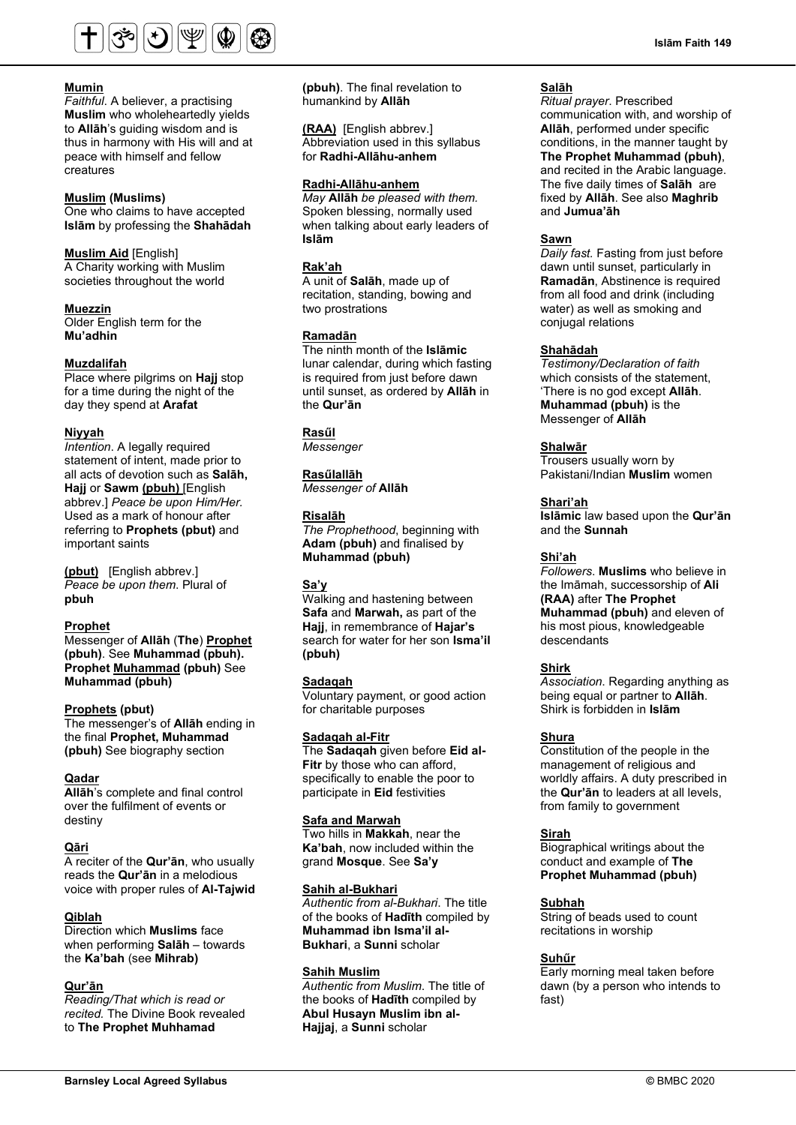

#### **Mumin**

*Faithful*. A believer, a practising **Muslim** who wholeheartedly yields to **Allāh**'s guiding wisdom and is thus in harmony with His will and at peace with himself and fellow creatures

#### **Muslim (Muslims)**

One who claims to have accepted **Islām** by professing the **Shahādah**

#### **Muslim Aid** [English]

A Charity working with Muslim societies throughout the world

#### **Muezzin**

Older English term for the **Mu'adhin**

#### **Muzdalifah**

Place where pilgrims on **Hajj** stop for a time during the night of the day they spend at **Arafat**

#### **Niyyah**

*Intention*. A legally required statement of intent, made prior to all acts of devotion such as **Salāh, Hajj** or **Sawm (pbuh)** [English abbrev.] *Peace be upon Him/Her.* Used as a mark of honour after referring to **Prophets (pbut)** and important saints

**(pbut)** [English abbrev.] *Peace be upon them*. Plural of **pbuh**

#### **Prophet**

Messenger of **Allāh** (**The**) **Prophet (pbuh)**. See **Muhammad (pbuh). Prophet Muhammad (pbuh)** See **Muhammad (pbuh)**

#### **Prophets (pbut)**

The messenger's of **Allāh** ending in the final **Prophet, Muhammad (pbuh)** See biography section

#### **Qadar**

**Allāh**'s complete and final control over the fulfilment of events or destiny

#### **Qāri**

A reciter of the **Qur'ān**, who usually reads the **Qur'ān** in a melodious voice with proper rules of **Al-Tajwid**

### **Qiblah**

Direction which **Muslims** face when performing **Salāh** – towards the **Ka'bah** (see **Mihrab)**

#### **Qur'ān**

*Reading/That which is read or recited.* The Divine Book revealed to **The Prophet Muhhamad** 

**(pbuh)**. The final revelation to humankind by **Allāh**

**(RAA)** [English abbrev.] Abbreviation used in this syllabus for **Radhi-Allāhu-anhem**

### **Radhi-Allāhu-anhem**

*May* **Allāh** *be pleased with them.* Spoken blessing, normally used when talking about early leaders of **Islām**

#### **Rak'ah**

A unit of **Salāh**, made up of recitation, standing, bowing and two prostrations

#### **Ramadān**

The ninth month of the **Islāmic** lunar calendar, during which fasting is required from just before dawn until sunset, as ordered by **Allāh** in the **Qur'ān**

### **Rasűl**

*Messenger*

#### **Rasűlallāh**

*Messenger of* **Allāh**

#### **Risalāh**

*The Prophethood*, beginning with **Adam (pbuh)** and finalised by **Muhammad (pbuh)**

### **Sa'y**

Walking and hastening between **Safa** and **Marwah,** as part of the **Hajj**, in remembrance of **Hajar's** search for water for her son **Isma'il (pbuh)**

#### **Sadaqah**

Voluntary payment, or good action for charitable purposes

#### **Sadaqah al-Fitr**

The **Sadaqah** given before **Eid al-Fitr** by those who can afford, specifically to enable the poor to participate in **Eid** festivities

#### **Safa and Marwah**

Two hills in **Makkah**, near the **Ka'bah**, now included within the grand **Mosque**. See **Sa'y**

#### **Sahih al-Bukhari**

*Authentic from al-Bukhari*. The title of the books of **Hadīth** compiled by **Muhammad ibn Isma'il al-Bukhari**, a **Sunni** scholar

#### **Sahih Muslim**

*Authentic from Muslim*. The title of the books of **Hadīth** compiled by **Abul Husayn Muslim ibn al-Hajjaj**, a **Sunni** scholar

#### **Salāh**

*Ritual prayer*. Prescribed communication with, and worship of **Allāh**, performed under specific conditions, in the manner taught by **The Prophet Muhammad (pbuh)**, and recited in the Arabic language. The five daily times of **Salāh** are fixed by **Allāh**. See also **Maghrib**  and **Jumua'āh**

#### **Sawn**

*Daily fast.* Fasting from just before dawn until sunset, particularly in **Ramadān**, Abstinence is required from all food and drink (including water) as well as smoking and conjugal relations

#### **Shahādah**

*Testimony/Declaration of faith* which consists of the statement, 'There is no god except **Allāh**. **Muhammad (pbuh)** is the Messenger of **Allāh**

#### **Shalwār**

Trousers usually worn by Pakistani/Indian **Muslim** women

#### **Shari'ah**

**Islāmic** law based upon the **Qur'ān**  and the **Sunnah**

#### **Shi'ah**

*Followers*. **Muslims** who believe in the Imāmah, successorship of **Ali (RAA)** after **The Prophet Muhammad (pbuh)** and eleven of his most pious, knowledgeable descendants

#### **Shirk**

*Association*. Regarding anything as being equal or partner to **Allāh**. Shirk is forbidden in **Islām**

#### **Shura**

Constitution of the people in the management of religious and worldly affairs. A duty prescribed in the **Qur'ān** to leaders at all levels, from family to government

#### **Sirah**

Biographical writings about the conduct and example of **The Prophet Muhammad (pbuh)**

#### **Subhah**

String of beads used to count recitations in worship

#### **Suhűr**

Early morning meal taken before dawn (by a person who intends to fast)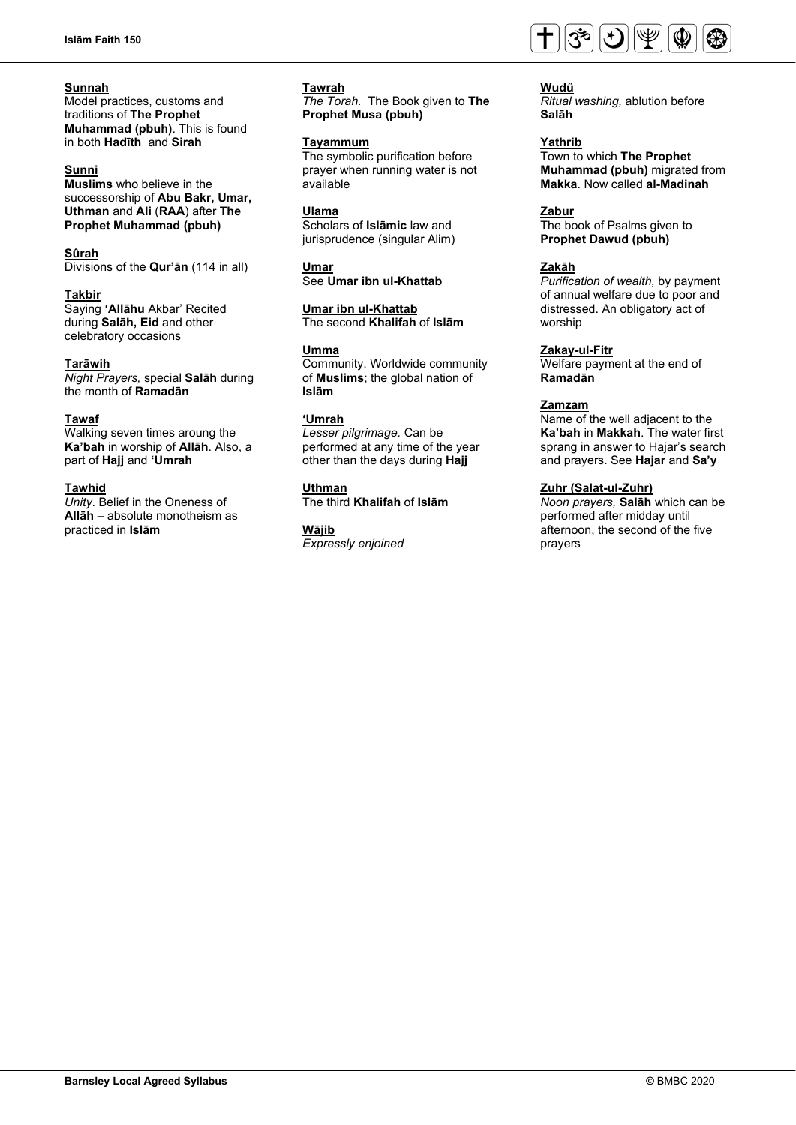### **Sunnah**

Model practices, customs and traditions of **The Prophet Muhammad (pbuh)**. This is found in both **Hadīth** and **Sirah**

### **Sunni**

**Muslims** who believe in the successorship of **Abu Bakr, Umar, Uthman** and **Ali** (**RAA**) after **The Prophet Muhammad (pbuh)**

#### **Sûrah**

Divisions of the **Qur'ān** (114 in all)

### **Takbir**

Saying **'Allāhu** Akbar' Recited during **Salāh, Eid** and other celebratory occasions

### **Tarāwih**

*Night Prayers,* special **Salāh** during the month of **Ramadān**

#### **Tawaf**

Walking seven times aroung the **Ka'bah** in worship of **Allāh**. Also, a part of **Hajj** and **'Umrah**

### **Tawhid**

*Unity*. Belief in the Oneness of **Allāh** – absolute monotheism as practiced in **Islām**

### **Tawrah**

*The Torah.* The Book given to **The Prophet Musa (pbuh)**

### **Tayammum**

The symbolic purification before prayer when running water is not available

#### **Ulama**

Scholars of **Islāmic** law and jurisprudence (singular Alim)

#### **Umar** See **Umar ibn ul-Khattab**

**Umar ibn ul-Khattab** 

The second **Khalifah** of **Islām**

### **Umma**

Community. Worldwide community of **Muslims**; the global nation of **Islām**

### **'Umrah**

*Lesser pilgrimage.* Can be performed at any time of the year other than the days during **Hajj**

### **Uthman**

The third **Khalifah** of **Islām**

### **Wājib**

*Expressly enjoined*



#### **Wudű** *Ritual washing,* ablution before **Salāh**

**Yathrib**  Town to which **The Prophet Muhammad (pbuh)** migrated from **Makka**. Now called **al-Madinah**

#### **Zabur**

The book of Psalms given to **Prophet Dawud (pbuh)**

### **Zakāh**

*Purification of wealth,* by payment of annual welfare due to poor and distressed. An obligatory act of worship

#### **Zakay-ul-Fitr**

Welfare payment at the end of **Ramadān**

#### **Zamzam**

Name of the well adjacent to the **Ka'bah** in **Makkah**. The water first sprang in answer to Hajar's search and prayers. See **Hajar** and **Sa'y**

### **Zuhr (Salat-ul-Zuhr)**

*Noon prayers,* **Salāh** which can be performed after midday until afternoon, the second of the five prayers